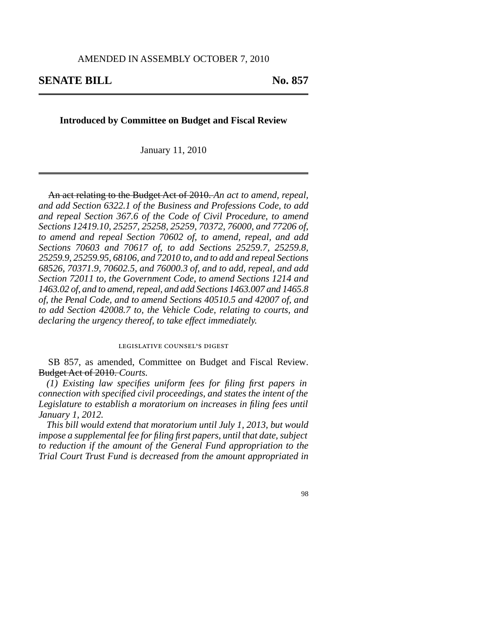# **SENATE BILL** No. 857

# **Introduced by Committee on Budget and Fiscal Review**

January 11, 2010

An act relating to the Budget Act of 2010. *An act to amend, repeal, and add Section 6322.1 of the Business and Professions Code, to add and repeal Section 367.6 of the Code of Civil Procedure, to amend Sections 12419.10, 25257, 25258, 25259, 70372, 76000, and 77206 of, to amend and repeal Section 70602 of, to amend, repeal, and add Sections 70603 and 70617 of, to add Sections 25259.7, 25259.8, 25259.9, 25259.95, 68106, and 72010 to, and to add and repeal Sections 68526, 70371.9, 70602.5, and 76000.3 of, and to add, repeal, and add Section 72011 to, the Government Code, to amend Sections 1214 and 1463.02 of, and to amend, repeal, and add Sections 1463.007 and 1465.8 of, the Penal Code, and to amend Sections 40510.5 and 42007 of, and to add Section 42008.7 to, the Vehicle Code, relating to courts, and declaring the urgency thereof, to take effect immediately.*

# legislative counsel' s digest

SB 857, as amended, Committee on Budget and Fiscal Review. Budget Act of 2010. *Courts.*

*(1) Existing law specifies uniform fees for filing first papers in connection with specified civil proceedings, and states the intent of the Legislature to establish a moratorium on increases in filing fees until January 1, 2012.*

*This bill would extend that moratorium until July 1, 2013, but would impose a supplemental fee for filing first papers, until that date, subject to reduction if the amount of the General Fund appropriation to the Trial Court Trust Fund is decreased from the amount appropriated in*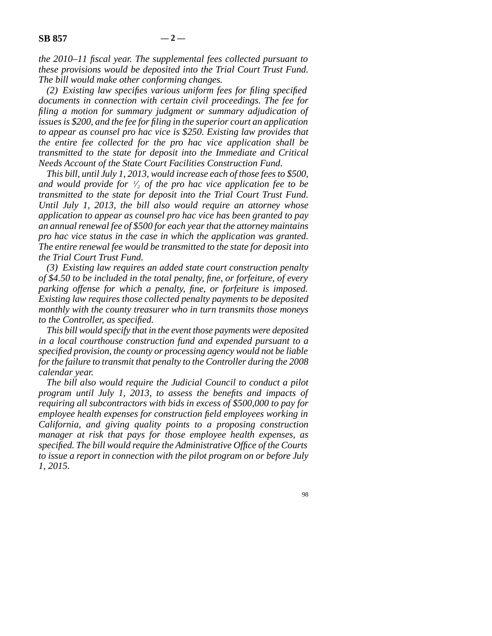*the 2010–11 fiscal year. The supplemental fees collected pursuant to these provisions would be deposited into the Trial Court Trust Fund. The bill would make other conforming changes.*

*(2) Existing law specifies various uniform fees for filing specified documents in connection with certain civil proceedings. The fee for filing a motion for summary judgment or summary adjudication of issues is \$200, and the fee for filing in the superior court an application to appear as counsel pro hac vice is \$250. Existing law provides that the entire fee collected for the pro hac vice application shall be transmitted to the state for deposit into the Immediate and Critical Needs Account of the State Court Facilities Construction Fund.*

*This bill, until July 1, 2013, would increase each of those fees to \$500, and would provide for <sup>1</sup> ⁄2 of the pro hac vice application fee to be transmitted to the state for deposit into the Trial Court Trust Fund. Until July 1, 2013, the bill also would require an attorney whose application to appear as counsel pro hac vice has been granted to pay an annual renewal fee of \$500 for each year that the attorney maintains pro hac vice status in the case in which the application was granted. The entire renewal fee would be transmitted to the state for deposit into the Trial Court Trust Fund.*

*(3) Existing law requires an added state court construction penalty of \$4.50 to be included in the total penalty, fine, or forfeiture, of every parking offense for which a penalty, fine, or forfeiture is imposed. Existing law requires those collected penalty payments to be deposited monthly with the county treasurer who in turn transmits those moneys to the Controller, as specified.*

*This bill would specify that in the event those payments were deposited in a local courthouse construction fund and expended pursuant to a specified provision, the county or processing agency would not be liable for the failure to transmit that penalty to the Controller during the 2008 calendar year.*

*The bill also would require the Judicial Council to conduct a pilot program until July 1, 2013, to assess the benefits and impacts of requiring all subcontractors with bids in excess of \$500,000 to pay for employee health expenses for construction field employees working in California, and giving quality points to a proposing construction manager at risk that pays for those employee health expenses, as specified. The bill would require the Administrative Office of the Courts to issue a report in connection with the pilot program on or before July 1, 2015.*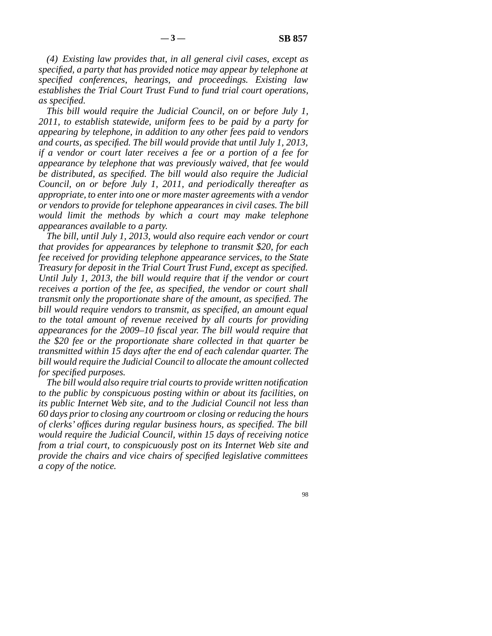*(4) Existing law provides that, in all general civil cases, except as specified, a party that has provided notice may appear by telephone at specified conferences, hearings, and proceedings. Existing law establishes the Trial Court Trust Fund to fund trial court operations, as specified.*

*This bill would require the Judicial Council, on or before July 1, 2011, to establish statewide, uniform fees to be paid by a party for appearing by telephone, in addition to any other fees paid to vendors and courts, as specified. The bill would provide that until July 1, 2013, if a vendor or court later receives a fee or a portion of a fee for appearance by telephone that was previously waived, that fee would be distributed, as specified. The bill would also require the Judicial Council, on or before July 1, 2011, and periodically thereafter as appropriate, to enter into one or more master agreements with a vendor or vendors to provide for telephone appearances in civil cases. The bill would limit the methods by which a court may make telephone appearances available to a party.*

*The bill, until July 1, 2013, would also require each vendor or court that provides for appearances by telephone to transmit \$20, for each fee received for providing telephone appearance services, to the State Treasury for deposit in the Trial Court Trust Fund, except as specified. Until July 1, 2013, the bill would require that if the vendor or court receives a portion of the fee, as specified, the vendor or court shall transmit only the proportionate share of the amount, as specified. The bill would require vendors to transmit, as specified, an amount equal to the total amount of revenue received by all courts for providing appearances for the 2009–10 fiscal year. The bill would require that the \$20 fee or the proportionate share collected in that quarter be transmitted within 15 days after the end of each calendar quarter. The bill would require the Judicial Council to allocate the amount collected for specified purposes.*

*The bill would also require trial courts to provide written notification to the public by conspicuous posting within or about its facilities, on its public Internet Web site, and to the Judicial Council not less than 60 days prior to closing any courtroom or closing or reducing the hours of clerks' offices during regular business hours, as specified. The bill would require the Judicial Council, within 15 days of receiving notice from a trial court, to conspicuously post on its Internet Web site and provide the chairs and vice chairs of specified legislative committees a copy of the notice.*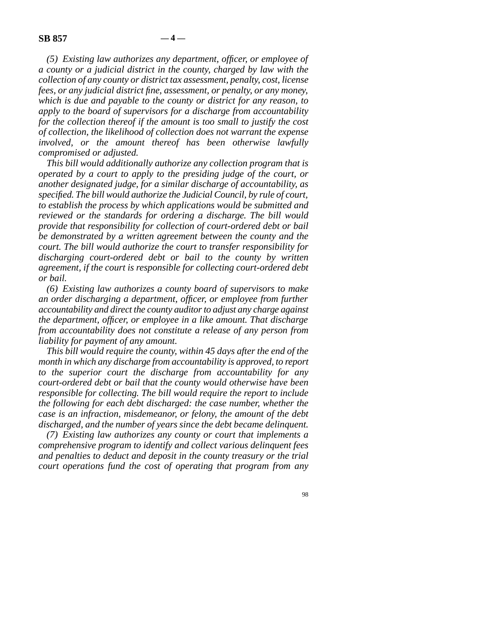*(5) Existing law authorizes any department, officer, or employee of a county or a judicial district in the county, charged by law with the collection of any county or district tax assessment, penalty, cost, license fees, or any judicial district fine, assessment, or penalty, or any money, which is due and payable to the county or district for any reason, to apply to the board of supervisors for a discharge from accountability for the collection thereof if the amount is too small to justify the cost of collection, the likelihood of collection does not warrant the expense involved, or the amount thereof has been otherwise lawfully compromised or adjusted.*

*This bill would additionally authorize any collection program that is operated by a court to apply to the presiding judge of the court, or another designated judge, for a similar discharge of accountability, as specified. The bill would authorize the Judicial Council, by rule of court, to establish the process by which applications would be submitted and reviewed or the standards for ordering a discharge. The bill would provide that responsibility for collection of court-ordered debt or bail be demonstrated by a written agreement between the county and the court. The bill would authorize the court to transfer responsibility for discharging court-ordered debt or bail to the county by written agreement, if the court is responsible for collecting court-ordered debt or bail.*

*(6) Existing law authorizes a county board of supervisors to make an order discharging a department, officer, or employee from further accountability and direct the county auditor to adjust any charge against the department, officer, or employee in a like amount. That discharge from accountability does not constitute a release of any person from liability for payment of any amount.*

*This bill would require the county, within 45 days after the end of the month in which any discharge from accountability is approved, to report to the superior court the discharge from accountability for any court-ordered debt or bail that the county would otherwise have been responsible for collecting. The bill would require the report to include the following for each debt discharged: the case number, whether the case is an infraction, misdemeanor, or felony, the amount of the debt discharged, and the number of years since the debt became delinquent.*

*(7) Existing law authorizes any county or court that implements a comprehensive program to identify and collect various delinquent fees and penalties to deduct and deposit in the county treasury or the trial court operations fund the cost of operating that program from any*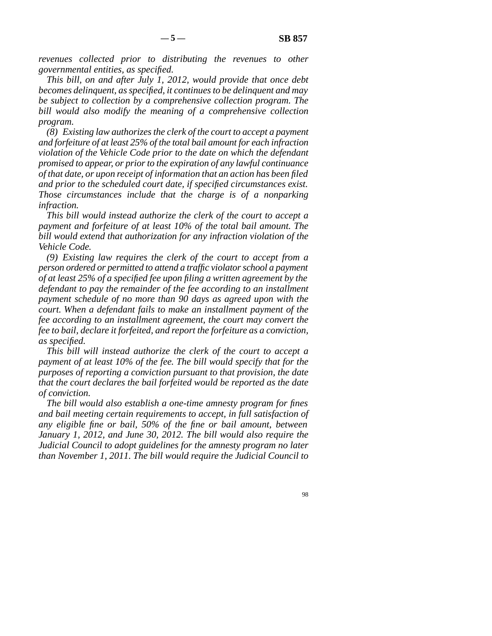*revenues collected prior to distributing the revenues to other governmental entities, as specified.*

*This bill, on and after July 1, 2012, would provide that once debt becomes delinquent, as specified, it continues to be delinquent and may be subject to collection by a comprehensive collection program. The bill would also modify the meaning of a comprehensive collection program.*

*(8) Existing law authorizes the clerk of the court to accept a payment and forfeiture of at least 25% of the total bail amount for each infraction violation of the Vehicle Code prior to the date on which the defendant promised to appear, or prior to the expiration of any lawful continuance of that date, or upon receipt of information that an action has been filed and prior to the scheduled court date, if specified circumstances exist. Those circumstances include that the charge is of a nonparking infraction.*

*This bill would instead authorize the clerk of the court to accept a payment and forfeiture of at least 10% of the total bail amount. The bill would extend that authorization for any infraction violation of the Vehicle Code.*

*(9) Existing law requires the clerk of the court to accept from a person ordered or permitted to attend a traffic violator school a payment of at least 25% of a specified fee upon filing a written agreement by the defendant to pay the remainder of the fee according to an installment payment schedule of no more than 90 days as agreed upon with the court. When a defendant fails to make an installment payment of the fee according to an installment agreement, the court may convert the fee to bail, declare it forfeited, and report the forfeiture as a conviction, as specified.*

*This bill will instead authorize the clerk of the court to accept a payment of at least 10% of the fee. The bill would specify that for the purposes of reporting a conviction pursuant to that provision, the date that the court declares the bail forfeited would be reported as the date of conviction.*

*The bill would also establish a one-time amnesty program for fines and bail meeting certain requirements to accept, in full satisfaction of any eligible fine or bail, 50% of the fine or bail amount, between January 1, 2012, and June 30, 2012. The bill would also require the Judicial Council to adopt guidelines for the amnesty program no later than November 1, 2011. The bill would require the Judicial Council to*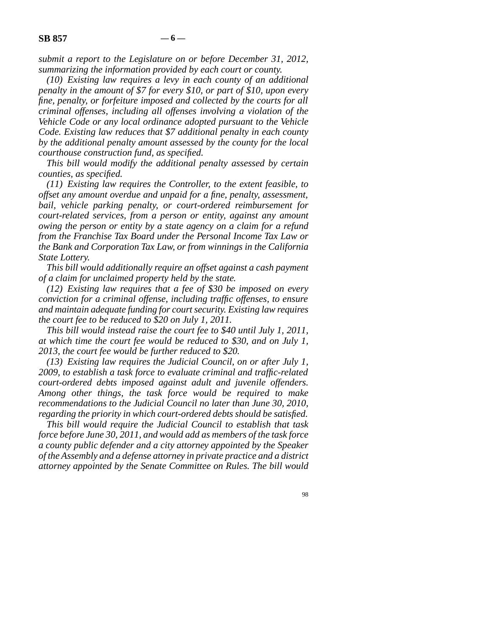*submit a report to the Legislature on or before December 31, 2012, summarizing the information provided by each court or county.*

*(10) Existing law requires a levy in each county of an additional penalty in the amount of \$7 for every \$10, or part of \$10, upon every fine, penalty, or forfeiture imposed and collected by the courts for all criminal offenses, including all offenses involving a violation of the Vehicle Code or any local ordinance adopted pursuant to the Vehicle Code. Existing law reduces that \$7 additional penalty in each county by the additional penalty amount assessed by the county for the local courthouse construction fund, as specified.*

*This bill would modify the additional penalty assessed by certain counties, as specified.*

*(11) Existing law requires the Controller, to the extent feasible, to offset any amount overdue and unpaid for a fine, penalty, assessment, bail, vehicle parking penalty, or court-ordered reimbursement for court-related services, from a person or entity, against any amount owing the person or entity by a state agency on a claim for a refund from the Franchise Tax Board under the Personal Income Tax Law or the Bank and Corporation Tax Law, or from winnings in the California State Lottery.*

*This bill would additionally require an offset against a cash payment of a claim for unclaimed property held by the state.*

*(12) Existing law requires that a fee of \$30 be imposed on every conviction for a criminal offense, including traffic offenses, to ensure and maintain adequate funding for court security. Existing law requires the court fee to be reduced to \$20 on July 1, 2011.*

*This bill would instead raise the court fee to \$40 until July 1, 2011, at which time the court fee would be reduced to \$30, and on July 1, 2013, the court fee would be further reduced to \$20.*

*(13) Existing law requires the Judicial Council, on or after July 1, 2009, to establish a task force to evaluate criminal and traffic-related court-ordered debts imposed against adult and juvenile offenders. Among other things, the task force would be required to make recommendations to the Judicial Council no later than June 30, 2010, regarding the priority in which court-ordered debts should be satisfied.*

*This bill would require the Judicial Council to establish that task force before June 30, 2011, and would add as members of the task force a county public defender and a city attorney appointed by the Speaker of the Assembly and a defense attorney in private practice and a district attorney appointed by the Senate Committee on Rules. The bill would*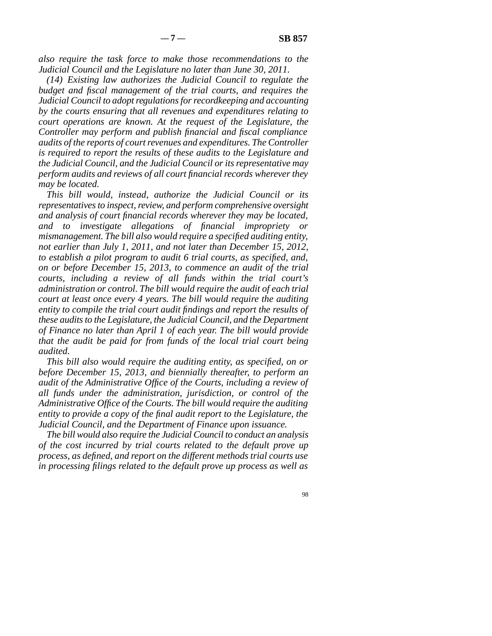*also require the task force to make those recommendations to the Judicial Council and the Legislature no later than June 30, 2011.*

*(14) Existing law authorizes the Judicial Council to regulate the budget and fiscal management of the trial courts, and requires the Judicial Council to adopt regulations for recordkeeping and accounting by the courts ensuring that all revenues and expenditures relating to court operations are known. At the request of the Legislature, the Controller may perform and publish financial and fiscal compliance audits of the reports of court revenues and expenditures. The Controller is required to report the results of these audits to the Legislature and the Judicial Council, and the Judicial Council or its representative may perform audits and reviews of all court financial records wherever they may be located.*

*This bill would, instead, authorize the Judicial Council or its representatives to inspect, review, and perform comprehensive oversight and analysis of court financial records wherever they may be located, and to investigate allegations of financial impropriety or mismanagement. The bill also would require a specified auditing entity, not earlier than July 1, 2011, and not later than December 15, 2012, to establish a pilot program to audit 6 trial courts, as specified, and, on or before December 15, 2013, to commence an audit of the trial courts, including a review of all funds within the trial court's administration or control. The bill would require the audit of each trial court at least once every 4 years. The bill would require the auditing entity to compile the trial court audit findings and report the results of these audits to the Legislature, the Judicial Council, and the Department of Finance no later than April 1 of each year. The bill would provide that the audit be paid for from funds of the local trial court being audited.*

*This bill also would require the auditing entity, as specified, on or before December 15, 2013, and biennially thereafter, to perform an audit of the Administrative Office of the Courts, including a review of all funds under the administration, jurisdiction, or control of the Administrative Office of the Courts. The bill would require the auditing entity to provide a copy of the final audit report to the Legislature, the Judicial Council, and the Department of Finance upon issuance.*

*The bill would also require the Judicial Council to conduct an analysis of the cost incurred by trial courts related to the default prove up process, as defined, and report on the different methods trial courts use in processing filings related to the default prove up process as well as*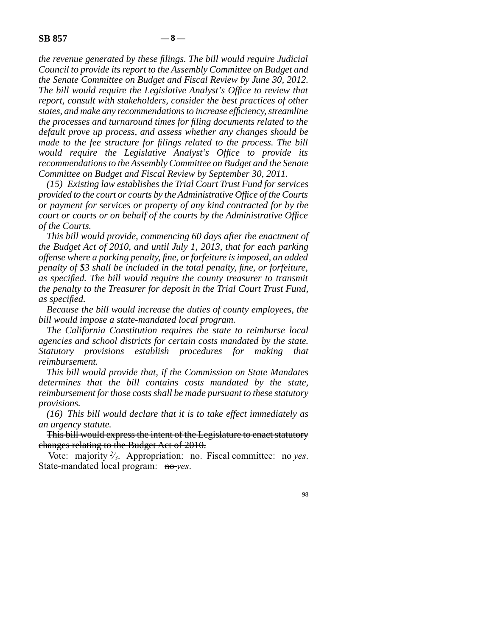*the revenue generated by these filings. The bill would require Judicial Council to provide its report to the Assembly Committee on Budget and the Senate Committee on Budget and Fiscal Review by June 30, 2012. The bill would require the Legislative Analyst's Office to review that report, consult with stakeholders, consider the best practices of other states, and make any recommendations to increase efficiency, streamline the processes and turnaround times for filing documents related to the default prove up process, and assess whether any changes should be made to the fee structure for filings related to the process. The bill would require the Legislative Analyst's Office to provide its recommendations to the Assembly Committee on Budget and the Senate Committee on Budget and Fiscal Review by September 30, 2011.*

*(15) Existing law establishes the Trial Court Trust Fund for services provided to the court or courts by the Administrative Office of the Courts or payment for services or property of any kind contracted for by the court or courts or on behalf of the courts by the Administrative Office of the Courts.*

*This bill would provide, commencing 60 days after the enactment of the Budget Act of 2010, and until July 1, 2013, that for each parking offense where a parking penalty, fine, or forfeiture is imposed, an added penalty of \$3 shall be included in the total penalty, fine, or forfeiture, as specified. The bill would require the county treasurer to transmit the penalty to the Treasurer for deposit in the Trial Court Trust Fund, as specified.*

*Because the bill would increase the duties of county employees, the bill would impose a state-mandated local program.*

*The California Constitution requires the state to reimburse local agencies and school districts for certain costs mandated by the state. Statutory provisions establish procedures for making that reimbursement.*

*This bill would provide that, if the Commission on State Mandates determines that the bill contains costs mandated by the state, reimbursement for those costs shall be made pursuant to these statutory provisions.*

*(16) This bill would declare that it is to take effect immediately as an urgency statute.*

This bill would express the intent of the Legislature to enact statutory changes relating to the Budget Act of 2010.

Vote: majority <sup>2</sup>/<sub>3</sub>. Appropriation: no. Fiscal committee: no *yes*. State-mandated local program: no *yes*.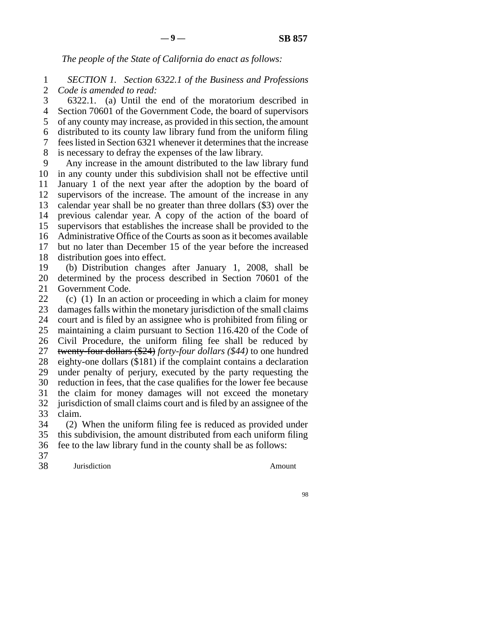*The people of the State of California do enact as follows:*

1 2 *SECTION 1. Section 6322.1 of the Business and Professions Code is amended to read:*

3 4 5 6 7 8 6322.1. (a) Until the end of the moratorium described in Section 70601 of the Government Code, the board of supervisors of any county may increase, as provided in this section, the amount distributed to its county law library fund from the uniform filing fees listed in Section 6321 whenever it determines that the increase is necessary to defray the expenses of the law library.

9 10 11 12 13 14 15 16 17 18 19 Any increase in the amount distributed to the law library fund in any county under this subdivision shall not be effective until January 1 of the next year after the adoption by the board of supervisors of the increase. The amount of the increase in any calendar year shall be no greater than three dollars (\$3) over the previous calendar year. A copy of the action of the board of supervisors that establishes the increase shall be provided to the Administrative Office of the Courts as soon as it becomes available but no later than December 15 of the year before the increased distribution goes into effect. (b) Distribution changes after January 1, 2008, shall be

20 21 determined by the process described in Section 70601 of the Government Code.

22 23 24 25 26 27 28 29 30 31 32 33 34 (c) (1) In an action or proceeding in which a claim for money damages falls within the monetary jurisdiction of the small claims court and is filed by an assignee who is prohibited from filing or maintaining a claim pursuant to Section 116.420 of the Code of Civil Procedure, the uniform filing fee shall be reduced by twenty-four dollars (\$24) *forty-four dollars (\$44)* to one hundred eighty-one dollars (\$181) if the complaint contains a declaration under penalty of perjury, executed by the party requesting the reduction in fees, that the case qualifies for the lower fee because the claim for money damages will not exceed the monetary jurisdiction of small claims court and is filed by an assignee of the claim. (2) When the uniform filing fee is reduced as provided under

35 36 this subdivision, the amount distributed from each uniform filing fee to the law library fund in the county shall be as follows:

37

38 Jurisdiction Amount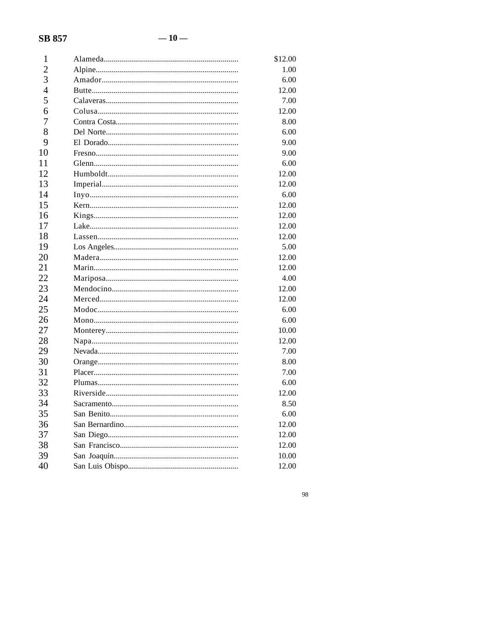# **SB 857**

| 1              | \$12.00 |
|----------------|---------|
| $\overline{2}$ | 1.00    |
| 3              | 6.00    |
| $\overline{4}$ | 12.00   |
| 5              | 7.00    |
| 6              | 12.00   |
| 7              | 8.00    |
| 8              | 6.00    |
| 9              | 9.00    |
| 10             | 9.00    |
| 11             | 6.00    |
| 12             | 12.00   |
| 13             | 12.00   |
| 14             | 6.00    |
| 15             | 12.00   |
| 16             | 12.00   |
| 17             | 12.00   |
| 18             | 12.00   |
| 19             | 5.00    |
| 20             | 12.00   |
| 21             | 12.00   |
| 22             | 4.00    |
| 23             | 12.00   |
| 24             | 12.00   |
| 25             | 6.00    |
| 26             | 6.00    |
| 27             | 10.00   |
| 28             | 12.00   |
| 29             | 7.00    |
| 30             | 8.00    |
| 31             | 7.00    |
| 32             | 6.00    |
| 33             | 12.00   |
| 34             | 8.50    |
| 35             | 6.00    |
| 36             | 12.00   |
| 37             | 12.00   |
| 38             | 12.00   |
| 39             | 10.00   |
| 40             | 12.00   |

 $\bf{98}$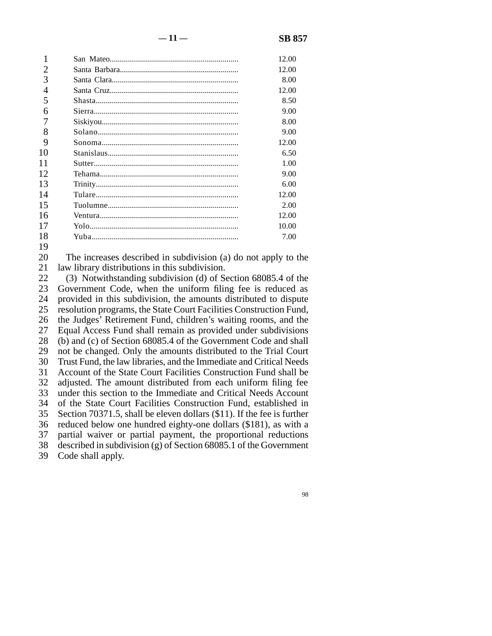|        | 12.00 |
|--------|-------|
|        | 12.00 |
|        | 8.00  |
| 4      | 12.00 |
|        | 8.50  |
| 6      | 9.00  |
|        | 8.00  |
| 8      | 9.00  |
| 9      | 12.00 |
| 10     | 6.50  |
| 11     | 1.00  |
| 12     | 9.00  |
| 13     | 6.00  |
| 14     | 12.00 |
| 15     | 2.00  |
| 16     | 12.00 |
| 17     | 10.00 |
| 18     | 7.00  |
| $\sim$ |       |

19

20 21 The increases described in subdivision (a) do not apply to the law library distributions in this subdivision.

22 23 24 25 26 27 28 29 30 31 32 33 34 35 36 37 38 (3) Notwithstanding subdivision (d) of Section 68085.4 of the Government Code, when the uniform filing fee is reduced as provided in this subdivision, the amounts distributed to dispute resolution programs, the State Court Facilities Construction Fund, the Judges' Retirement Fund, children's waiting rooms, and the Equal Access Fund shall remain as provided under subdivisions (b) and (c) of Section 68085.4 of the Government Code and shall not be changed. Only the amounts distributed to the Trial Court Trust Fund, the law libraries, and the Immediate and Critical Needs Account of the State Court Facilities Construction Fund shall be adjusted. The amount distributed from each uniform filing fee under this section to the Immediate and Critical Needs Account of the State Court Facilities Construction Fund, established in Section 70371.5, shall be eleven dollars (\$11). If the fee is further reduced below one hundred eighty-one dollars (\$181), as with a partial waiver or partial payment, the proportional reductions described in subdivision (g) of Section 68085.1 of the Government

39 Code shall apply.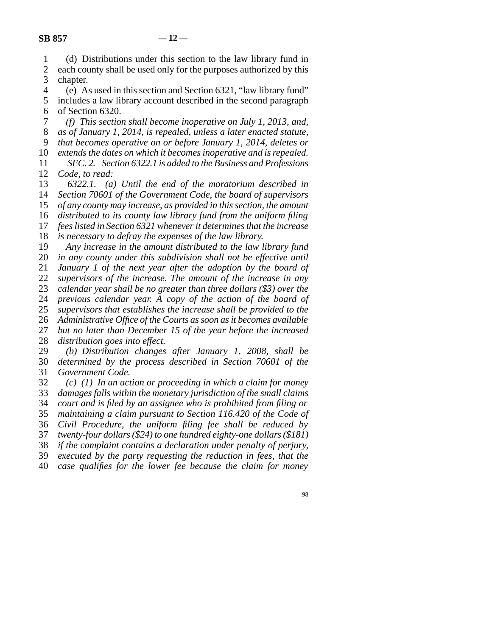1 2 3 4 (d) Distributions under this section to the law library fund in each county shall be used only for the purposes authorized by this chapter. (e) As used in this section and Section 6321, "law library fund"

5 6 includes a law library account described in the second paragraph of Section 6320.

7 8 9 10 *(f) This section shall become inoperative on July 1, 2013, and, as of January 1, 2014, is repealed, unless a later enacted statute, that becomes operative on or before January 1, 2014, deletes or extends the dates on which it becomes inoperative and is repealed.*

11 12 *SEC. 2. Section 6322.1 is added to the Business and Professions Code, to read:*

13 14 15 16 17 *6322.1. (a) Until the end of the moratorium described in Section 70601 of the Government Code, the board of supervisors of any county may increase, as provided in this section, the amount distributed to its county law library fund from the uniform filing fees listed in Section 6321 whenever it determines that the increase*

18 *is necessary to defray the expenses of the law library.*

19 *Any increase in the amount distributed to the law library fund*

20 21 *in any county under this subdivision shall not be effective until January 1 of the next year after the adoption by the board of*

22 *supervisors of the increase. The amount of the increase in any*

23 *calendar year shall be no greater than three dollars (\$3) over the*

24 *previous calendar year. A copy of the action of the board of*

25 *supervisors that establishes the increase shall be provided to the*

26 27 *Administrative Office of the Courts as soon as it becomes available but no later than December 15 of the year before the increased*

28 *distribution goes into effect.*

29 30 31 *(b) Distribution changes after January 1, 2008, shall be determined by the process described in Section 70601 of the Government Code.*

32 33 34 35 36 37 38 *(c) (1) In an action or proceeding in which a claim for money damages falls within the monetary jurisdiction of the small claims court and is filed by an assignee who is prohibited from filing or maintaining a claim pursuant to Section 116.420 of the Code of Civil Procedure, the uniform filing fee shall be reduced by twenty-four dollars (\$24) to one hundred eighty-one dollars (\$181) if the complaint contains a declaration under penalty of perjury,*

39 *executed by the party requesting the reduction in fees, that the*

40 *case qualifies for the lower fee because the claim for money*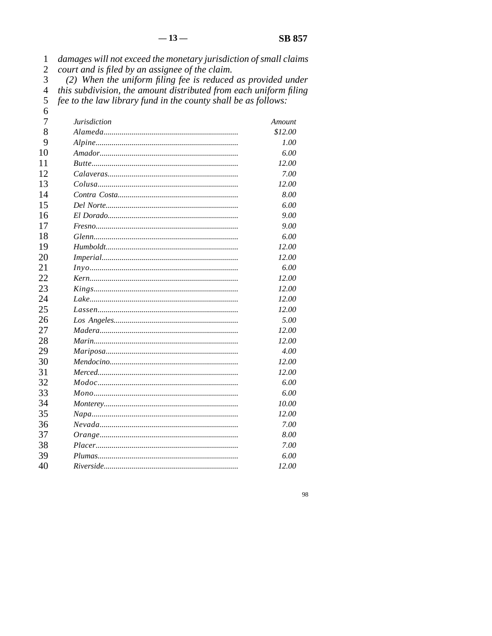| 1              | damages will not exceed the monetary jurisdiction of small claims |         |
|----------------|-------------------------------------------------------------------|---------|
| $\overline{c}$ | court and is filed by an assignee of the claim.                   |         |
| 3              | (2) When the uniform filing fee is reduced as provided under      |         |
| $\overline{4}$ | this subdivision, the amount distributed from each uniform filing |         |
| 5              | fee to the law library fund in the county shall be as follows:    |         |
| 6              |                                                                   |         |
| 7              | <b>Jurisdiction</b>                                               | Amount  |
| 8              |                                                                   | \$12.00 |
| 9              |                                                                   | 1.00    |
| 10             |                                                                   | 6.00    |
| 11             |                                                                   | 12.00   |
| 12             |                                                                   | 7.00    |
| 13             |                                                                   | 12.00   |
| 14             |                                                                   | 8.00    |
| 15             |                                                                   | 6.00    |
| 16             |                                                                   | 9.00    |
| 17             |                                                                   | 9.00    |
| 18             |                                                                   | 6.00    |
| 19             |                                                                   | 12.00   |
| 20             |                                                                   | 12.00   |
| 21             |                                                                   | 6.00    |
| 22             |                                                                   | 12.00   |
| 23             |                                                                   | 12.00   |
| 24             |                                                                   | 12.00   |
| 25             |                                                                   | 12.00   |
| 26             |                                                                   | 5.00    |
| 27             |                                                                   | 12.00   |
| 28             |                                                                   | 12.00   |
| 29             |                                                                   | 4.00    |
| 30             |                                                                   | 12.00   |
| 31             |                                                                   | 12.00   |
| 32             |                                                                   | 6.00    |
| 33             |                                                                   | 6.00    |
| 34             | <i>Monterey</i>                                                   | 10.00   |
| 35             |                                                                   | 12.00   |
| 36             |                                                                   | 7.00    |
| 37             |                                                                   | 8.00    |
| 38             |                                                                   | 7.00    |
| 39             |                                                                   | 6.00    |
| 40             |                                                                   | 12.00   |

 $\bf{98}$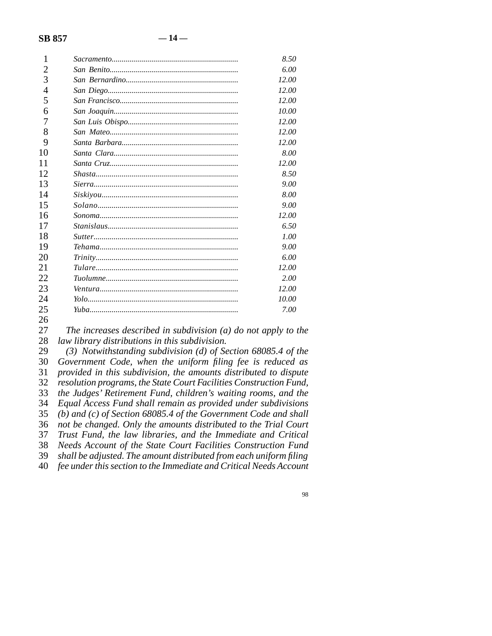| 1              | 8.50  |
|----------------|-------|
| 2              | 6.00  |
| 3              | 12.00 |
| $\overline{4}$ | 12.00 |
| 5              | 12.00 |
| 6              | 10.00 |
| 7              | 12.00 |
| 8              | 12.00 |
| 9              | 12.00 |
| 10             | 8.00  |
| 11             | 12.00 |
| 12             | 8.50  |
| 13             | 9.00  |
| 14             | 8.00  |
| 15             | 9.00  |
| 16             | 12.00 |
| 17             | 6.50  |
| 18             | 1.00  |
| 19             | 9.00  |
| 20             | 6.00  |
| 21             | 12.00 |
| 22             | 2.00  |
| 23             | 12.00 |
| 24             | 10.00 |
| 25             | 7.00  |
| 26             |       |

27 28 *The increases described in subdivision (a) do not apply to the law library distributions in this subdivision.*

29 30 31 32 33 34 35 36 37 38 39 40 *(3) Notwithstanding subdivision (d) of Section 68085.4 of the Government Code, when the uniform filing fee is reduced as provided in this subdivision, the amounts distributed to dispute resolution programs, the State Court Facilities Construction Fund, the Judges' Retirement Fund, children's waiting rooms, and the Equal Access Fund shall remain as provided under subdivisions (b) and (c) of Section 68085.4 of the Government Code and shall not be changed. Only the amounts distributed to the Trial Court Trust Fund, the law libraries, and the Immediate and Critical Needs Account of the State Court Facilities Construction Fund shall be adjusted. The amount distributed from each uniform filing fee under this section to the Immediate and Critical Needs Account*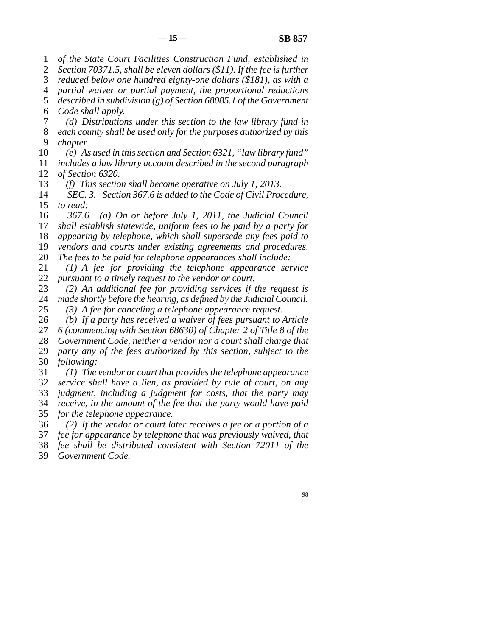1 *of the State Court Facilities Construction Fund, established in*

2 3 *Section 70371.5, shall be eleven dollars (\$11). If the fee is further reduced below one hundred eighty-one dollars (\$181), as with a*

4 *partial waiver or partial payment, the proportional reductions*

5 *described in subdivision (g) of Section 68085.1 of the Government*

6 *Code shall apply.*

7 8 9 *(d) Distributions under this section to the law library fund in each county shall be used only for the purposes authorized by this chapter.*

10 *(e) As used in this section and Section 6321, "law library fund"*

11 *includes a law library account described in the second paragraph*

12 *of Section 6320.*

13 *(f) This section shall become operative on July 1, 2013.*

14 15 *SEC. 3. Section 367.6 is added to the Code of Civil Procedure, to read:*

16 17 *367.6. (a) On or before July 1, 2011, the Judicial Council shall establish statewide, uniform fees to be paid by a party for*

18 *appearing by telephone, which shall supersede any fees paid to*

19 20 *vendors and courts under existing agreements and procedures. The fees to be paid for telephone appearances shall include:*

21 22 *(1) A fee for providing the telephone appearance service pursuant to a timely request to the vendor or court.*

23 24 *(2) An additional fee for providing services if the request is made shortly before the hearing, as defined by the Judicial Council.*

25 *(3) A fee for canceling a telephone appearance request.*

26 *(b) If a party has received a waiver of fees pursuant to Article*

27 *6 (commencing with Section 68630) of Chapter 2 of Title 8 of the*

28 *Government Code, neither a vendor nor a court shall charge that*

29 30 *party any of the fees authorized by this section, subject to the following:*

31 32 33 *(1) The vendor or court that provides the telephone appearance service shall have a lien, as provided by rule of court, on any judgment, including a judgment for costs, that the party may*

34 35 *receive, in the amount of the fee that the party would have paid for the telephone appearance.*

36 *(2) If the vendor or court later receives a fee or a portion of a*

37 *fee for appearance by telephone that was previously waived, that*

38 *fee shall be distributed consistent with Section 72011 of the*

39 *Government Code.*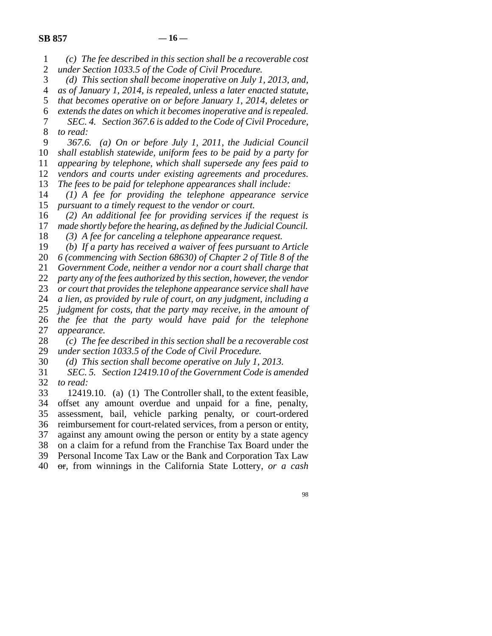| $(c)$ The fee described in this section shall be a recoverable cost |
|---------------------------------------------------------------------|
| 2 under Section 1033.5 of the Code of Civil Procedure.              |

3 *(d) This section shall become inoperative on July 1, 2013, and,*

4 *as of January 1, 2014, is repealed, unless a later enacted statute,*

5 *that becomes operative on or before January 1, 2014, deletes or*

6 7 8 *extends the dates on which it becomes inoperative and is repealed. SEC. 4. Section 367.6 is added to the Code of Civil Procedure, to read:*

9 *367.6. (a) On or before July 1, 2011, the Judicial Council*

10 *shall establish statewide, uniform fees to be paid by a party for*

11 *appearing by telephone, which shall supersede any fees paid to*

12 *vendors and courts under existing agreements and procedures.*

13 *The fees to be paid for telephone appearances shall include:*

14 15 *(1) A fee for providing the telephone appearance service pursuant to a timely request to the vendor or court.*

16 17 *(2) An additional fee for providing services if the request is made shortly before the hearing, as defined by the Judicial Council.*

18 *(3) A fee for canceling a telephone appearance request.*

19 *(b) If a party has received a waiver of fees pursuant to Article*

20 *6 (commencing with Section 68630) of Chapter 2 of Title 8 of the*

21 *Government Code, neither a vendor nor a court shall charge that*

22 *party any of the fees authorized by this section, however, the vendor*

23 *or court that provides the telephone appearance service shall have*

24 25 *a lien, as provided by rule of court, on any judgment, including a*

26 27 *judgment for costs, that the party may receive, in the amount of the fee that the party would have paid for the telephone appearance.*

28 *(c) The fee described in this section shall be a recoverable cost*

29 *under section 1033.5 of the Code of Civil Procedure.*

30 *(d) This section shall become operative on July 1, 2013.*

31 32 *SEC. 5. Section 12419.10 of the Government Code is amended to read:*

33 34 35 36 37 38 39 40 12419.10. (a) (1) The Controller shall, to the extent feasible, offset any amount overdue and unpaid for a fine, penalty, assessment, bail, vehicle parking penalty, or court-ordered reimbursement for court-related services, from a person or entity, against any amount owing the person or entity by a state agency on a claim for a refund from the Franchise Tax Board under the Personal Income Tax Law or the Bank and Corporation Tax Law or*,* from winnings in the California State Lottery*, or a cash*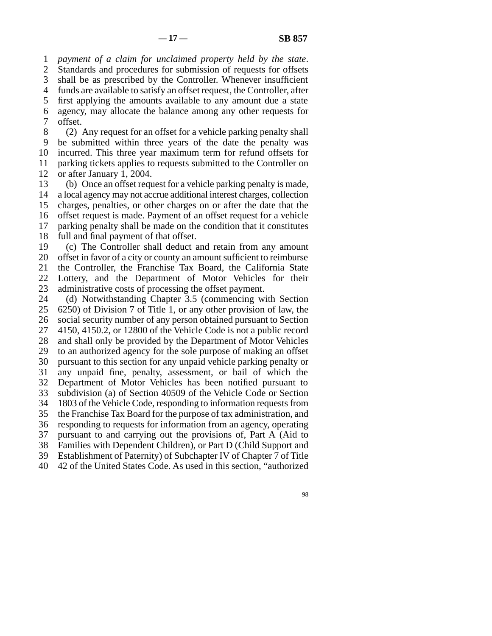1 2 3 4 5 6 7 *payment of a claim for unclaimed property held by the state*. Standards and procedures for submission of requests for offsets shall be as prescribed by the Controller. Whenever insufficient funds are available to satisfy an offset request, the Controller, after first applying the amounts available to any amount due a state agency, may allocate the balance among any other requests for offset.

8 9 10 11 12 (2) Any request for an offset for a vehicle parking penalty shall be submitted within three years of the date the penalty was incurred. This three year maximum term for refund offsets for parking tickets applies to requests submitted to the Controller on or after January 1, 2004.

13 14 15 16 17 18 (b) Once an offset request for a vehicle parking penalty is made, a local agency may not accrue additional interest charges, collection charges, penalties, or other charges on or after the date that the offset request is made. Payment of an offset request for a vehicle parking penalty shall be made on the condition that it constitutes full and final payment of that offset.

19 20 21 22 23 (c) The Controller shall deduct and retain from any amount offset in favor of a city or county an amount sufficient to reimburse the Controller, the Franchise Tax Board, the California State Lottery, and the Department of Motor Vehicles for their administrative costs of processing the offset payment.

24 25 26 27 28 29 30 31 32 33 34 35 36 37 38 39 40 (d) Notwithstanding Chapter 3.5 (commencing with Section 6250) of Division 7 of Title 1, or any other provision of law, the social security number of any person obtained pursuant to Section 4150, 4150.2, or 12800 of the Vehicle Code is not a public record and shall only be provided by the Department of Motor Vehicles to an authorized agency for the sole purpose of making an offset pursuant to this section for any unpaid vehicle parking penalty or any unpaid fine, penalty, assessment, or bail of which the Department of Motor Vehicles has been notified pursuant to subdivision (a) of Section 40509 of the Vehicle Code or Section 1803 of the Vehicle Code, responding to information requests from the Franchise Tax Board for the purpose of tax administration, and responding to requests for information from an agency, operating pursuant to and carrying out the provisions of, Part A (Aid to Families with Dependent Children), or Part D (Child Support and Establishment of Paternity) of Subchapter IV of Chapter 7 of Title 42 of the United States Code. As used in this section, "authorized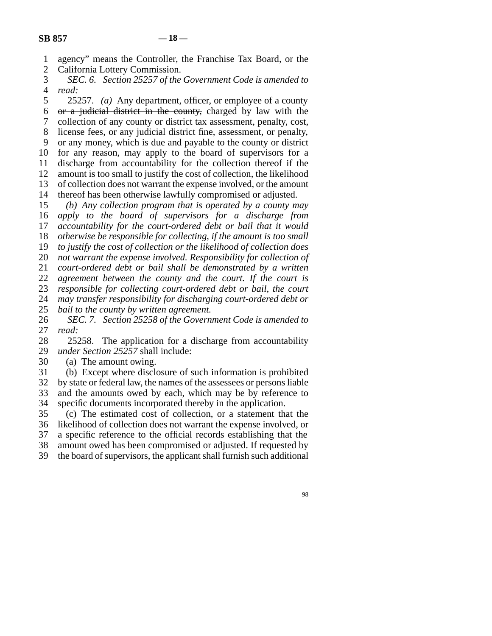1 2 agency" means the Controller, the Franchise Tax Board, or the California Lottery Commission.

3 4 *SEC. 6. Section 25257 of the Government Code is amended to read:*

5 6 7 8 9 10 11 12 13 14 25257. *(a)* Any department, officer, or employee of a county or a judicial district in the county, charged by law with the collection of any county or district tax assessment, penalty, cost, license fees, or any judicial district fine, assessment, or penalty, or any money, which is due and payable to the county or district for any reason, may apply to the board of supervisors for a discharge from accountability for the collection thereof if the amount is too small to justify the cost of collection, the likelihood of collection does not warrant the expense involved, or the amount thereof has been otherwise lawfully compromised or adjusted.

15 16 17 18 19 20 21 22 *(b) Any collection program that is operated by a county may apply to the board of supervisors for a discharge from accountability for the court-ordered debt or bail that it would otherwise be responsible for collecting, if the amount is too small to justify the cost of collection or the likelihood of collection does not warrant the expense involved. Responsibility for collection of court-ordered debt or bail shall be demonstrated by a written agreement between the county and the court. If the court is*

23 24 *responsible for collecting court-ordered debt or bail, the court may transfer responsibility for discharging court-ordered debt or*

25 *bail to the county by written agreement.*

26 27 *SEC. 7. Section 25258 of the Government Code is amended to read:*

28 29 25258. The application for a discharge from accountability *under Section 25257* shall include:

30 (a) The amount owing.

31 32 33 34 (b) Except where disclosure of such information is prohibited by state or federal law, the names of the assessees or persons liable and the amounts owed by each, which may be by reference to specific documents incorporated thereby in the application.

35 36 37 38 (c) The estimated cost of collection, or a statement that the likelihood of collection does not warrant the expense involved, or a specific reference to the official records establishing that the amount owed has been compromised or adjusted. If requested by

39 the board of supervisors, the applicant shall furnish such additional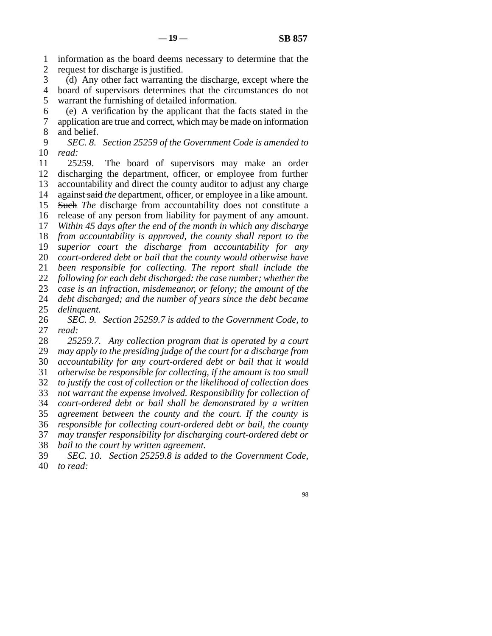1 2 information as the board deems necessary to determine that the request for discharge is justified.

3 4 5 (d) Any other fact warranting the discharge, except where the board of supervisors determines that the circumstances do not warrant the furnishing of detailed information.

6 7 8 (e) A verification by the applicant that the facts stated in the application are true and correct, which may be made on information and belief.

### 9 10 *SEC. 8. Section 25259 of the Government Code is amended to read:*

11 12 13 14 15 16 17 18 19 20 21 22 23 24 25 26 27 28 29 30 31 32 33 34 25259. The board of supervisors may make an order discharging the department, officer, or employee from further accountability and direct the county auditor to adjust any charge against said *the* department, officer*,* or employee in a like amount. Such *The* discharge from accountability does not constitute a release of any person from liability for payment of any amount. *Within 45 days after the end of the month in which any discharge from accountability is approved, the county shall report to the superior court the discharge from accountability for any court-ordered debt or bail that the county would otherwise have been responsible for collecting. The report shall include the following for each debt discharged: the case number; whether the case is an infraction, misdemeanor, or felony; the amount of the debt discharged; and the number of years since the debt became delinquent. SEC. 9. Section 25259.7 is added to the Government Code, to read: 25259.7. Any collection program that is operated by a court may apply to the presiding judge of the court for a discharge from accountability for any court-ordered debt or bail that it would otherwise be responsible for collecting, if the amount is too small to justify the cost of collection or the likelihood of collection does not warrant the expense involved. Responsibility for collection of court-ordered debt or bail shall be demonstrated by a written*

35 36 *agreement between the county and the court. If the county is responsible for collecting court-ordered debt or bail, the county*

37 *may transfer responsibility for discharging court-ordered debt or*

38 *bail to the court by written agreement.*

39 40 *SEC. 10. Section 25259.8 is added to the Government Code, to read:*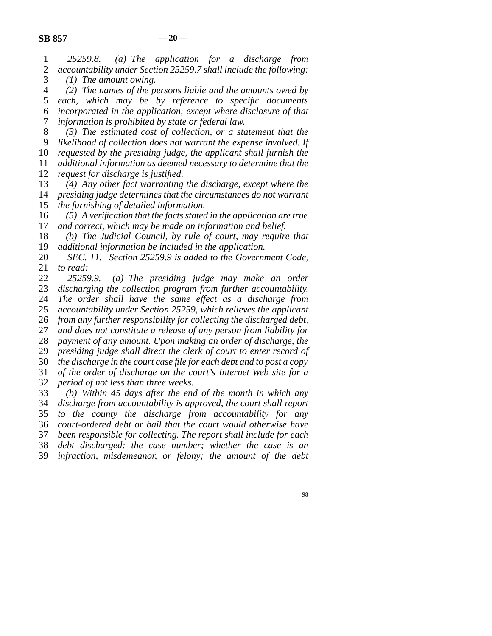| $\mathbf{1}$<br>$\overline{2}$ | $(a)$ The application for a discharge from<br>25259.8.<br>accountability under Section 25259.7 shall include the following: |  |  |  |  |  |  |
|--------------------------------|-----------------------------------------------------------------------------------------------------------------------------|--|--|--|--|--|--|
| 3                              | $(1)$ The amount owing.                                                                                                     |  |  |  |  |  |  |
| $\overline{4}$                 | $(2)$ The names of the persons liable and the amounts owed by                                                               |  |  |  |  |  |  |
| 5                              | which may be by reference to specific documents<br>each,                                                                    |  |  |  |  |  |  |
| 6                              | incorporated in the application, except where disclosure of that                                                            |  |  |  |  |  |  |
| 7                              | information is prohibited by state or federal law.                                                                          |  |  |  |  |  |  |
| $8\,$                          | $(3)$ The estimated cost of collection, or a statement that the                                                             |  |  |  |  |  |  |
| 9                              | likelihood of collection does not warrant the expense involved. If                                                          |  |  |  |  |  |  |
| 10                             | requested by the presiding judge, the applicant shall furnish the                                                           |  |  |  |  |  |  |
| 11                             | additional information as deemed necessary to determine that the                                                            |  |  |  |  |  |  |
| 12                             | request for discharge is justified.                                                                                         |  |  |  |  |  |  |
| 13                             | (4) Any other fact warranting the discharge, except where the                                                               |  |  |  |  |  |  |
| 14                             | presiding judge determines that the circumstances do not warrant                                                            |  |  |  |  |  |  |
| 15                             | the furnishing of detailed information.                                                                                     |  |  |  |  |  |  |
| 16                             | $(5)$ A verification that the facts stated in the application are true                                                      |  |  |  |  |  |  |
| 17                             | and correct, which may be made on information and belief.                                                                   |  |  |  |  |  |  |
| 18                             | (b) The Judicial Council, by rule of court, may require that                                                                |  |  |  |  |  |  |
| 19                             | additional information be included in the application.                                                                      |  |  |  |  |  |  |
| 20                             | SEC. 11. Section 25259.9 is added to the Government Code,                                                                   |  |  |  |  |  |  |
| 21                             | to read:                                                                                                                    |  |  |  |  |  |  |
| $22\,$                         | 25259.9.<br>(a) The presiding judge may make an order                                                                       |  |  |  |  |  |  |
| 23                             | discharging the collection program from further accountability.                                                             |  |  |  |  |  |  |
| 24                             | The order shall have the same effect as a discharge from                                                                    |  |  |  |  |  |  |
| 25                             | accountability under Section 25259, which relieves the applicant                                                            |  |  |  |  |  |  |
| 26                             | from any further responsibility for collecting the discharged debt,                                                         |  |  |  |  |  |  |
| 27                             | and does not constitute a release of any person from liability for                                                          |  |  |  |  |  |  |
| 28                             | payment of any amount. Upon making an order of discharge, the                                                               |  |  |  |  |  |  |
| 29                             | presiding judge shall direct the clerk of court to enter record of                                                          |  |  |  |  |  |  |
| 30                             | the discharge in the court case file for each debt and to post a copy                                                       |  |  |  |  |  |  |
| 31                             | of the order of discharge on the court's Internet Web site for a                                                            |  |  |  |  |  |  |
| 32                             | period of not less than three weeks.                                                                                        |  |  |  |  |  |  |
| 33<br>34                       | (b) Within 45 days after the end of the month in which any                                                                  |  |  |  |  |  |  |
|                                | discharge from accountability is approved, the court shall report                                                           |  |  |  |  |  |  |
| 35<br>36                       | to the county the discharge from accountability for any<br>court-ordered debt or bail that the court would otherwise have   |  |  |  |  |  |  |
| 37                             | been responsible for collecting. The report shall include for each                                                          |  |  |  |  |  |  |
| 38                             | debt discharged: the case number; whether the case is an                                                                    |  |  |  |  |  |  |
| 39                             | infraction, misdemeanor, or felony; the amount of the debt                                                                  |  |  |  |  |  |  |
|                                |                                                                                                                             |  |  |  |  |  |  |
|                                |                                                                                                                             |  |  |  |  |  |  |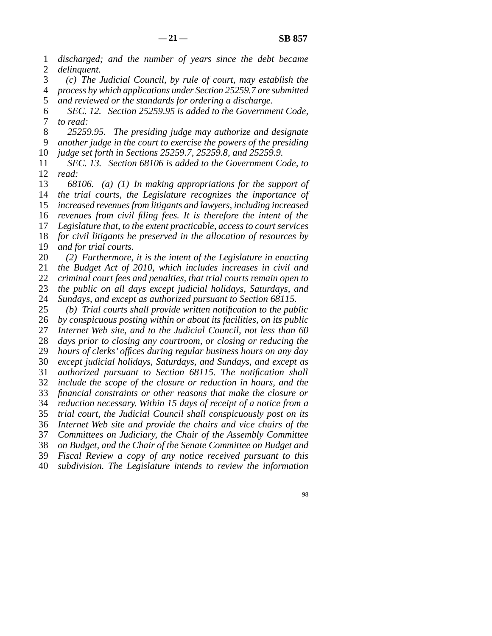1 2 *discharged; and the number of years since the debt became delinquent.*

3 4 5 *(c) The Judicial Council, by rule of court, may establish the process by which applications under Section 25259.7 are submitted and reviewed or the standards for ordering a discharge.*

6 7 *SEC. 12. Section 25259.95 is added to the Government Code, to read:*

8 9 *25259.95. The presiding judge may authorize and designate another judge in the court to exercise the powers of the presiding*

10 *judge set forth in Sections 25259.7, 25259.8, and 25259.9.*

11 12 *SEC. 13. Section 68106 is added to the Government Code, to read:*

13 14 15 16 17 18 19 20 *68106. (a) (1) In making appropriations for the support of the trial courts, the Legislature recognizes the importance of increased revenues from litigants and lawyers, including increased revenues from civil filing fees. It is therefore the intent of the Legislature that, to the extent practicable, access to court services for civil litigants be preserved in the allocation of resources by and for trial courts. (2) Furthermore, it is the intent of the Legislature in enacting*

21 22 *the Budget Act of 2010, which includes increases in civil and criminal court fees and penalties, that trial courts remain open to*

23 *the public on all days except judicial holidays, Saturdays, and*

24 *Sundays, and except as authorized pursuant to Section 68115.*

25 26 27 28 29 30 31 32 33 34 35 36 37 38 39 40 *(b) Trial courts shall provide written notification to the public by conspicuous posting within or about its facilities, on its public Internet Web site, and to the Judicial Council, not less than 60 days prior to closing any courtroom, or closing or reducing the hours of clerks' offices during regular business hours on any day except judicial holidays, Saturdays, and Sundays, and except as authorized pursuant to Section 68115. The notification shall include the scope of the closure or reduction in hours, and the financial constraints or other reasons that make the closure or reduction necessary. Within 15 days of receipt of a notice from a trial court, the Judicial Council shall conspicuously post on its Internet Web site and provide the chairs and vice chairs of the Committees on Judiciary, the Chair of the Assembly Committee on Budget, and the Chair of the Senate Committee on Budget and Fiscal Review a copy of any notice received pursuant to this subdivision. The Legislature intends to review the information*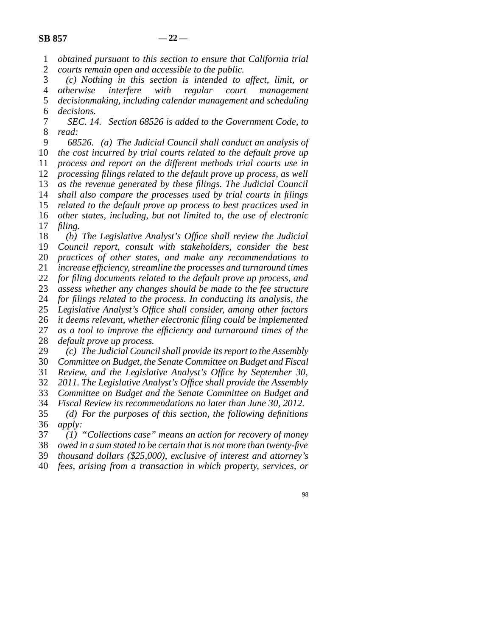- 1 2 *obtained pursuant to this section to ensure that California trial courts remain open and accessible to the public.*
- 3 4 5 6 *(c) Nothing in this section is intended to affect, limit, or otherwise interfere with regular court management decisionmaking, including calendar management and scheduling decisions.*
- 7 8 *SEC. 14. Section 68526 is added to the Government Code, to read:*
- 9 10 11 12 13 14 15 16 17 18 *68526. (a) The Judicial Council shall conduct an analysis of the cost incurred by trial courts related to the default prove up process and report on the different methods trial courts use in processing filings related to the default prove up process, as well as the revenue generated by these filings. The Judicial Council shall also compare the processes used by trial courts in filings related to the default prove up process to best practices used in other states, including, but not limited to, the use of electronic filing. (b) The Legislative Analyst's Office shall review the Judicial*
- 19 20 21 22 23 24 25 26 27 *Council report, consult with stakeholders, consider the best practices of other states, and make any recommendations to increase efficiency, streamline the processes and turnaround times for filing documents related to the default prove up process, and assess whether any changes should be made to the fee structure for filings related to the process. In conducting its analysis, the Legislative Analyst's Office shall consider, among other factors it deems relevant, whether electronic filing could be implemented as a tool to improve the efficiency and turnaround times of the*
- 28 *default prove up process.*
- 29 *(c) The Judicial Council shall provide its report to the Assembly*
- 30 *Committee on Budget, the Senate Committee on Budget and Fiscal*
- 31 *Review, and the Legislative Analyst's Office by September 30,*
- 32 *2011. The Legislative Analyst's Office shall provide the Assembly*
- 33 *Committee on Budget and the Senate Committee on Budget and*
- 34 35 36 *Fiscal Review its recommendations no later than June 30, 2012. (d) For the purposes of this section, the following definitions apply:*
- 37 *(1) "Collections case" means an action for recovery of money*
- 38 *owed in a sum stated to be certain that is not more than twenty-five*
- 39 *thousand dollars (\$25,000), exclusive of interest and attorney's*
- 40 *fees, arising from a transaction in which property, services, or*
	- 98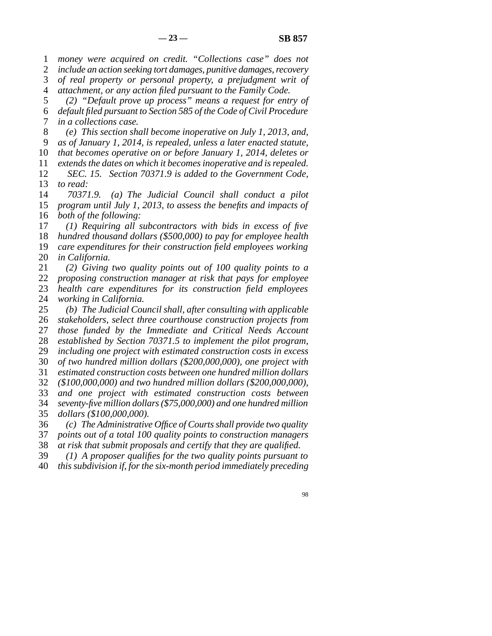1 2 3 4 5 6 7 8 9 10 11 12 13 14 15 16 17 18 19 20 21 22 23 24 25 26 27 28 29 30 31 32 33 34 35 36 37 38 39 40 *money were acquired on credit. "Collections case" does not include an action seeking tort damages, punitive damages, recovery of real property or personal property, a prejudgment writ of attachment, or any action filed pursuant to the Family Code. (2) "Default prove up process" means a request for entry of default filed pursuant to Section 585 of the Code of Civil Procedure in a collections case. (e) This section shall become inoperative on July 1, 2013, and, as of January 1, 2014, is repealed, unless a later enacted statute, that becomes operative on or before January 1, 2014, deletes or extends the dates on which it becomes inoperative and is repealed. SEC. 15. Section 70371.9 is added to the Government Code, to read: 70371.9. (a) The Judicial Council shall conduct a pilot program until July 1, 2013, to assess the benefits and impacts of both of the following: (1) Requiring all subcontractors with bids in excess of five hundred thousand dollars (\$500,000) to pay for employee health care expenditures for their construction field employees working in California. (2) Giving two quality points out of 100 quality points to a proposing construction manager at risk that pays for employee health care expenditures for its construction field employees working in California. (b) The Judicial Council shall, after consulting with applicable stakeholders, select three courthouse construction projects from those funded by the Immediate and Critical Needs Account established by Section 70371.5 to implement the pilot program, including one project with estimated construction costs in excess of two hundred million dollars (\$200,000,000), one project with estimated construction costs between one hundred million dollars (\$100,000,000) and two hundred million dollars (\$200,000,000), and one project with estimated construction costs between seventy-five million dollars (\$75,000,000) and one hundred million dollars (\$100,000,000). (c) The Administrative Office of Courts shall provide two quality points out of a total 100 quality points to construction managers at risk that submit proposals and certify that they are qualified. (1) A proposer qualifies for the two quality points pursuant to this subdivision if, for the six-month period immediately preceding* 98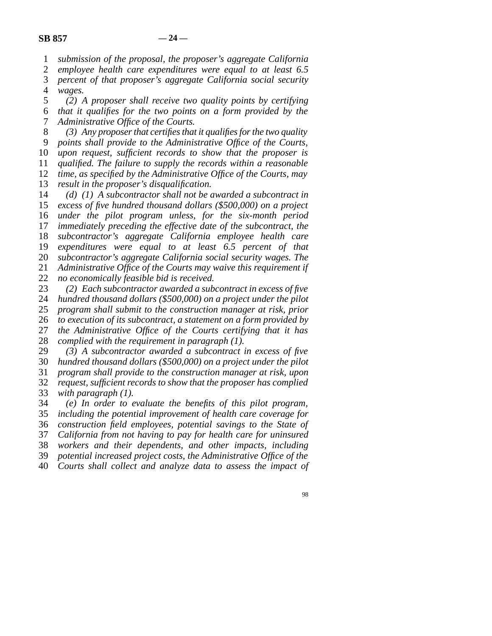1 *submission of the proposal, the proposer's aggregate California*

2 *employee health care expenditures were equal to at least 6.5*

3 4 *percent of that proposer's aggregate California social security wages.*

5 *(2) A proposer shall receive two quality points by certifying*

6 7 *that it qualifies for the two points on a form provided by the Administrative Office of the Courts.*

8 9 10 11 12 *(3) Any proposer that certifies that it qualifies for the two quality points shall provide to the Administrative Office of the Courts, upon request, sufficient records to show that the proposer is qualified. The failure to supply the records within a reasonable time, as specified by the Administrative Office of the Courts, may*

13 *result in the proposer's disqualification.*

14 15 16 17 18 19 20 21 22 *(d) (1) A subcontractor shall not be awarded a subcontract in excess of five hundred thousand dollars (\$500,000) on a project under the pilot program unless, for the six-month period immediately preceding the effective date of the subcontract, the subcontractor's aggregate California employee health care expenditures were equal to at least 6.5 percent of that subcontractor's aggregate California social security wages. The Administrative Office of the Courts may waive this requirement if no economically feasible bid is received.*

23 *(2) Each subcontractor awarded a subcontract in excess of five*

24 *hundred thousand dollars (\$500,000) on a project under the pilot*

25 *program shall submit to the construction manager at risk, prior*

26 27 *to execution of its subcontract, a statement on a form provided by the Administrative Office of the Courts certifying that it has*

28 *complied with the requirement in paragraph (1).*

29 *(3) A subcontractor awarded a subcontract in excess of five*

30 *hundred thousand dollars (\$500,000) on a project under the pilot*

31 *program shall provide to the construction manager at risk, upon*

32 33 *request, sufficient records to show that the proposer has complied with paragraph (1).*

34 35 *(e) In order to evaluate the benefits of this pilot program, including the potential improvement of health care coverage for*

36 *construction field employees, potential savings to the State of*

37 *California from not having to pay for health care for uninsured*

38 *workers and their dependents, and other impacts, including*

39 *potential increased project costs, the Administrative Office of the*

40 *Courts shall collect and analyze data to assess the impact of*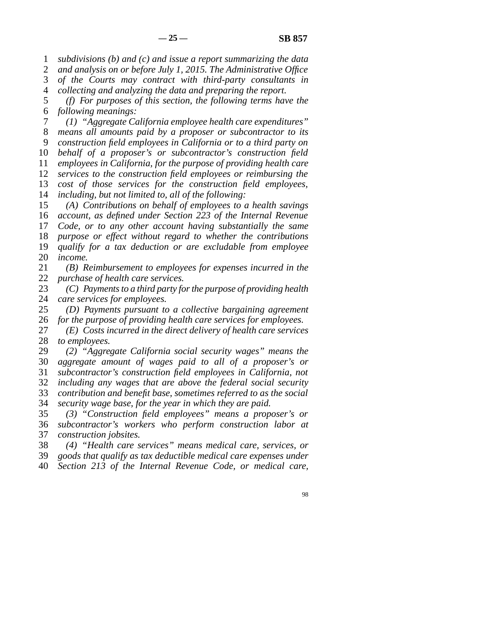1 *subdivisions (b) and (c) and issue a report summarizing the data*

2 *and analysis on or before July 1, 2015. The Administrative Office*

3 *of the Courts may contract with third-party consultants in*

4 *collecting and analyzing the data and preparing the report.*

5 6 *(f) For purposes of this section, the following terms have the following meanings:*

7 8 9 10 11 12 13 14 *(1) "Aggregate California employee health care expenditures" means all amounts paid by a proposer or subcontractor to its construction field employees in California or to a third party on behalf of a proposer's or subcontractor's construction field employees in California, for the purpose of providing health care services to the construction field employees or reimbursing the cost of those services for the construction field employees, including, but not limited to, all of the following:*

15 16 17 18 19 20 *(A) Contributions on behalf of employees to a health savings account, as defined under Section 223 of the Internal Revenue Code, or to any other account having substantially the same purpose or effect without regard to whether the contributions qualify for a tax deduction or are excludable from employee income.*

21 22 *(B) Reimbursement to employees for expenses incurred in the purchase of health care services.*

23 24 *(C) Payments to a third party for the purpose of providing health care services for employees.*

25 26 *(D) Payments pursuant to a collective bargaining agreement for the purpose of providing health care services for employees.*

27 28 *(E) Costs incurred in the direct delivery of health care services to employees.*

29 30 *(2) "Aggregate California social security wages" means the aggregate amount of wages paid to all of a proposer's or*

31 *subcontractor's construction field employees in California, not*

32 *including any wages that are above the federal social security*

33 *contribution and benefit base, sometimes referred to as the social*

34 *security wage base, for the year in which they are paid.*

35 36 37 *(3) "Construction field employees" means a proposer's or subcontractor's workers who perform construction labor at construction jobsites.*

38 *(4) "Health care services" means medical care, services, or*

39 *goods that qualify as tax deductible medical care expenses under*

40 *Section 213 of the Internal Revenue Code, or medical care,*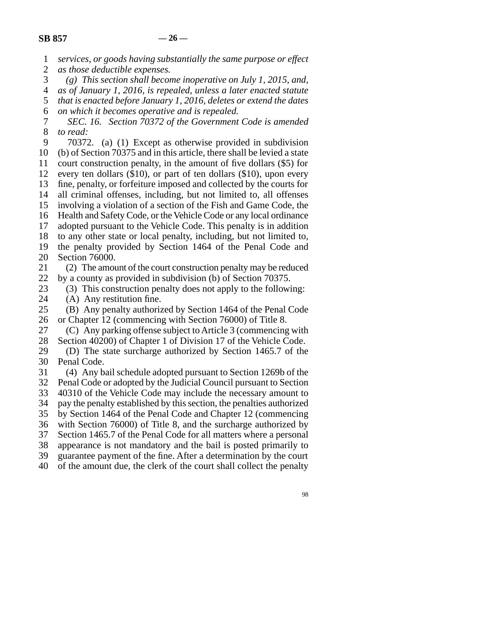1

*services, or goods having substantially the same purpose or effect*

| $\overline{c}$   | as those deductible expenses.                                             |
|------------------|---------------------------------------------------------------------------|
| 3                | $(g)$ This section shall become inoperative on July 1, 2015, and,         |
| $\overline{4}$   | as of January 1, 2016, is repealed, unless a later enacted statute        |
| 5                | that is enacted before January 1, 2016, deletes or extend the dates       |
| 6                | on which it becomes operative and is repealed.                            |
| $\boldsymbol{7}$ | SEC. 16. Section 70372 of the Government Code is amended                  |
| 8                | to read:                                                                  |
| 9                | 70372. (a) (1) Except as otherwise provided in subdivision                |
| 10               | (b) of Section 70375 and in this article, there shall be levied a state   |
| 11               | court construction penalty, in the amount of five dollars (\$5) for       |
| 12               | every ten dollars $(\$10)$ , or part of ten dollars $(\$10)$ , upon every |
| 13               | fine, penalty, or forfeiture imposed and collected by the courts for      |
| 14               | all criminal offenses, including, but not limited to, all offenses        |
| 15               | involving a violation of a section of the Fish and Game Code, the         |
| 16               | Health and Safety Code, or the Vehicle Code or any local ordinance        |
| 17               | adopted pursuant to the Vehicle Code. This penalty is in addition         |
| 18               | to any other state or local penalty, including, but not limited to,       |
| 19               | the penalty provided by Section 1464 of the Penal Code and                |
| 20               | Section 76000.                                                            |
| 21               | (2) The amount of the court construction penalty may be reduced           |
| 22               | by a county as provided in subdivision (b) of Section 70375.              |
| 23               | (3) This construction penalty does not apply to the following:            |
| 24               | (A) Any restitution fine.                                                 |
| 25               | (B) Any penalty authorized by Section 1464 of the Penal Code              |
| 26               | or Chapter 12 (commencing with Section 76000) of Title 8.                 |
| 27               | (C) Any parking offense subject to Article 3 (commencing with             |
| 28               | Section 40200) of Chapter 1 of Division 17 of the Vehicle Code.           |
| 29               | (D) The state surcharge authorized by Section 1465.7 of the               |
| 30               | Penal Code.                                                               |
| 31               | (4) Any bail schedule adopted pursuant to Section 1269b of the            |
| 32               | Penal Code or adopted by the Judicial Council pursuant to Section         |
| 33               | 40310 of the Vehicle Code may include the necessary amount to             |
| 34               | pay the penalty established by this section, the penalties authorized     |
| 35               | by Section 1464 of the Penal Code and Chapter 12 (commencing              |
| 36               | with Section 76000) of Title 8, and the surcharge authorized by           |
| 37               | Section 1465.7 of the Penal Code for all matters where a personal         |
| 38               | appearance is not mandatory and the bail is posted primarily to           |
| 39               | guarantee payment of the fine. After a determination by the court         |
| 40               | of the amount due, the clerk of the court shall collect the penalty       |
|                  |                                                                           |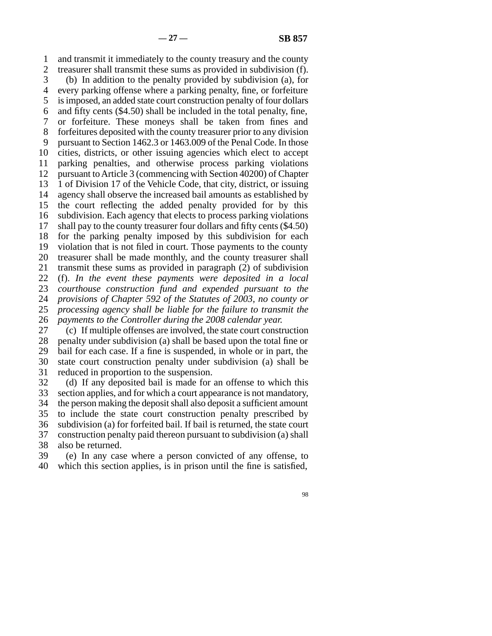1 2 3 4 5 6 7 8 9 10 11 12 13 14 15 16 17 18 19 20 21 22 23 24 25 26 and transmit it immediately to the county treasury and the county treasurer shall transmit these sums as provided in subdivision (f). (b) In addition to the penalty provided by subdivision (a), for every parking offense where a parking penalty, fine, or forfeiture is imposed, an added state court construction penalty of four dollars and fifty cents (\$4.50) shall be included in the total penalty, fine, or forfeiture. These moneys shall be taken from fines and forfeitures deposited with the county treasurer prior to any division pursuant to Section 1462.3 or 1463.009 of the Penal Code. In those cities, districts, or other issuing agencies which elect to accept parking penalties, and otherwise process parking violations pursuant to Article 3 (commencing with Section 40200) of Chapter 1 of Division 17 of the Vehicle Code, that city, district, or issuing agency shall observe the increased bail amounts as established by the court reflecting the added penalty provided for by this subdivision. Each agency that elects to process parking violations shall pay to the county treasurer four dollars and fifty cents (\$4.50) for the parking penalty imposed by this subdivision for each violation that is not filed in court. Those payments to the county treasurer shall be made monthly, and the county treasurer shall transmit these sums as provided in paragraph (2) of subdivision (f). *In the event these payments were deposited in a local courthouse construction fund and expended pursuant to the provisions of Chapter 592 of the Statutes of 2003, no county or processing agency shall be liable for the failure to transmit the payments to the Controller during the 2008 calendar year.*

27 28 29 30 31 (c) If multiple offenses are involved, the state court construction penalty under subdivision (a) shall be based upon the total fine or bail for each case. If a fine is suspended, in whole or in part, the state court construction penalty under subdivision (a) shall be reduced in proportion to the suspension.

32 33 34 35 36 37 38 (d) If any deposited bail is made for an offense to which this section applies, and for which a court appearance is not mandatory, the person making the deposit shall also deposit a sufficient amount to include the state court construction penalty prescribed by subdivision (a) for forfeited bail. If bail is returned, the state court construction penalty paid thereon pursuant to subdivision (a) shall also be returned.

39 40 (e) In any case where a person convicted of any offense, to which this section applies, is in prison until the fine is satisfied,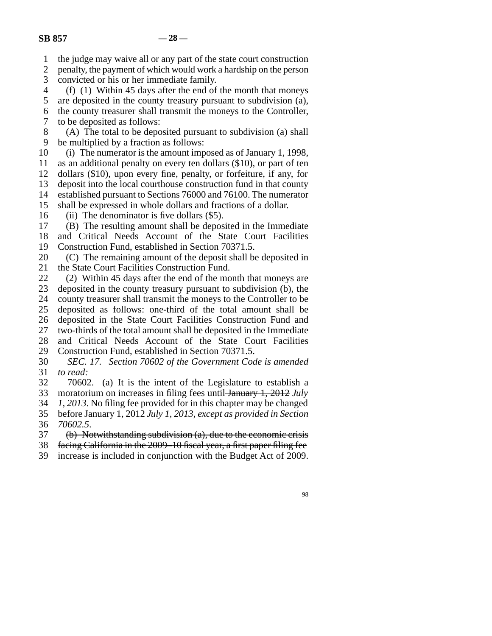1 the judge may waive all or any part of the state court construction

2 3 penalty, the payment of which would work a hardship on the person convicted or his or her immediate family.

4 (f) (1) Within 45 days after the end of the month that moneys

5 6 are deposited in the county treasury pursuant to subdivision (a), the county treasurer shall transmit the moneys to the Controller,

7 to be deposited as follows:

8 9 (A) The total to be deposited pursuant to subdivision (a) shall be multiplied by a fraction as follows:

10 (i) The numerator is the amount imposed as of January 1, 1998,

11 as an additional penalty on every ten dollars (\$10), or part of ten

12 dollars (\$10), upon every fine, penalty, or forfeiture, if any, for

13 deposit into the local courthouse construction fund in that county

14 established pursuant to Sections 76000 and 76100. The numerator

15 shall be expressed in whole dollars and fractions of a dollar.

16 (ii) The denominator is five dollars (\$5).

17 (B) The resulting amount shall be deposited in the Immediate

18 19 and Critical Needs Account of the State Court Facilities Construction Fund, established in Section 70371.5.

20 21 (C) The remaining amount of the deposit shall be deposited in the State Court Facilities Construction Fund.

22 23 24 25 26 27 28 29 (2) Within 45 days after the end of the month that moneys are deposited in the county treasury pursuant to subdivision (b), the county treasurer shall transmit the moneys to the Controller to be deposited as follows: one-third of the total amount shall be deposited in the State Court Facilities Construction Fund and two-thirds of the total amount shall be deposited in the Immediate and Critical Needs Account of the State Court Facilities Construction Fund, established in Section 70371.5.

30 31 *SEC. 17. Section 70602 of the Government Code is amended to read:*

32 33 70602. (a) It is the intent of the Legislature to establish a moratorium on increases in filing fees until January 1, 2012 *July*

34 *1, 2013*. No filing fee provided for in this chapter may be changed

35 before January 1, 2012 *July 1, 2013, except as provided in Section*

36 *70602.5*.

37 (b) Notwithstanding subdivision (a), due to the economic crisis

38 facing California in the 2009–10 fiscal year, a first paper filing fee

39 increase is included in conjunction with the Budget Act of 2009.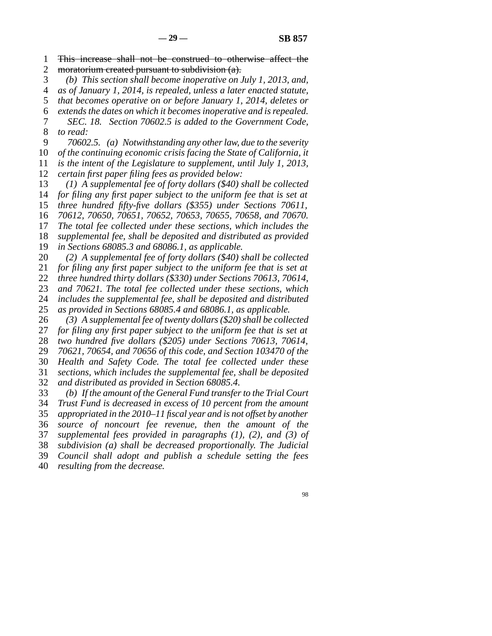1 2 This increase shall not be construed to otherwise affect the moratorium created pursuant to subdivision (a).

3 4 *(b) This section shall become inoperative on July 1, 2013, and, as of January 1, 2014, is repealed, unless a later enacted statute,*

5 *that becomes operative on or before January 1, 2014, deletes or*

6 7 8 *extends the dates on which it becomes inoperative and is repealed. SEC. 18. Section 70602.5 is added to the Government Code, to read:*

9 *70602.5. (a) Notwithstanding any other law, due to the severity*

10 11 *of the continuing economic crisis facing the State of California, it is the intent of the Legislature to supplement, until July 1, 2013,*

12 *certain first paper filing fees as provided below:*

13 *(1) A supplemental fee of forty dollars (\$40) shall be collected*

14 *for filing any first paper subject to the uniform fee that is set at*

15 16 *three hundred fifty-five dollars (\$355) under Sections 70611, 70612, 70650, 70651, 70652, 70653, 70655, 70658, and 70670.*

17 *The total fee collected under these sections, which includes the*

18 *supplemental fee, shall be deposited and distributed as provided*

19 *in Sections 68085.3 and 68086.1, as applicable.*

20 *(2) A supplemental fee of forty dollars (\$40) shall be collected*

21 *for filing any first paper subject to the uniform fee that is set at*

22 *three hundred thirty dollars (\$330) under Sections 70613, 70614,*

23 *and 70621. The total fee collected under these sections, which*

24 *includes the supplemental fee, shall be deposited and distributed*

25 *as provided in Sections 68085.4 and 68086.1, as applicable.*

26 *(3) A supplemental fee of twenty dollars (\$20) shall be collected*

27 *for filing any first paper subject to the uniform fee that is set at*

28 29 *two hundred five dollars (\$205) under Sections 70613, 70614, 70621, 70654, and 70656 of this code, and Section 103470 of the*

30 *Health and Safety Code. The total fee collected under these*

31 *sections, which includes the supplemental fee, shall be deposited*

32 *and distributed as provided in Section 68085.4.*

33 *(b) If the amount of the General Fund transfer to the Trial Court*

34 *Trust Fund is decreased in excess of 10 percent from the amount*

35 *appropriated in the 2010–11 fiscal year and is not offset by another*

36 *source of noncourt fee revenue, then the amount of the*

37 *supplemental fees provided in paragraphs (1), (2), and (3) of*

38 *subdivision (a) shall be decreased proportionally. The Judicial*

39 *Council shall adopt and publish a schedule setting the fees*

40 *resulting from the decrease.*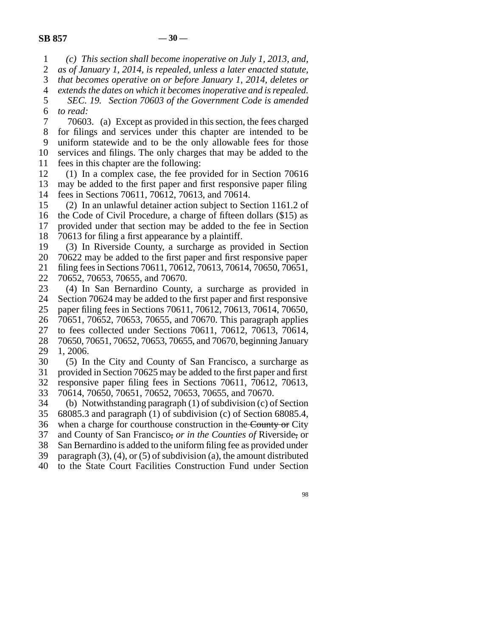1 *(c) This section shall become inoperative on July 1, 2013, and,*

2 3 *as of January 1, 2014, is repealed, unless a later enacted statute, that becomes operative on or before January 1, 2014, deletes or*

4 *extends the dates on which it becomes inoperative and is repealed.*

5 6 *SEC. 19. Section 70603 of the Government Code is amended to read:*

7 8 9 10 11 70603. (a) Except as provided in this section, the fees charged for filings and services under this chapter are intended to be uniform statewide and to be the only allowable fees for those services and filings. The only charges that may be added to the fees in this chapter are the following:

12 13 14 (1) In a complex case, the fee provided for in Section 70616 may be added to the first paper and first responsive paper filing fees in Sections 70611, 70612, 70613, and 70614.

15 (2) In an unlawful detainer action subject to Section 1161.2 of

16 17 the Code of Civil Procedure, a charge of fifteen dollars (\$15) as provided under that section may be added to the fee in Section

18 70613 for filing a first appearance by a plaintiff.

19 (3) In Riverside County, a surcharge as provided in Section

20 21 70622 may be added to the first paper and first responsive paper filing fees in Sections 70611, 70612, 70613, 70614, 70650, 70651,

22 70652, 70653, 70655, and 70670.

23 (4) In San Bernardino County, a surcharge as provided in

24 Section 70624 may be added to the first paper and first responsive

25 paper filing fees in Sections 70611, 70612, 70613, 70614, 70650,

26 70651, 70652, 70653, 70655, and 70670. This paragraph applies

27 to fees collected under Sections 70611, 70612, 70613, 70614,

28 29 70650, 70651, 70652, 70653, 70655, and 70670, beginning January 1, 2006.

30 31 (5) In the City and County of San Francisco, a surcharge as provided in Section 70625 may be added to the first paper and first

32 33 responsive paper filing fees in Sections 70611, 70612, 70613, 70614, 70650, 70651, 70652, 70653, 70655, and 70670.

34 (b) Notwithstanding paragraph (1) of subdivision (c) of Section

35 68085.3 and paragraph (1) of subdivision (c) of Section 68085.4,

36 when a charge for courthouse construction in the County or City

37 and County of San Francisco, *or in the Counties of* Riverside, or

38 San Bernardino is added to the uniform filing fee as provided under

39 paragraph  $(3)$ ,  $(4)$ , or  $(5)$  of subdivision  $(a)$ , the amount distributed

40 to the State Court Facilities Construction Fund under Section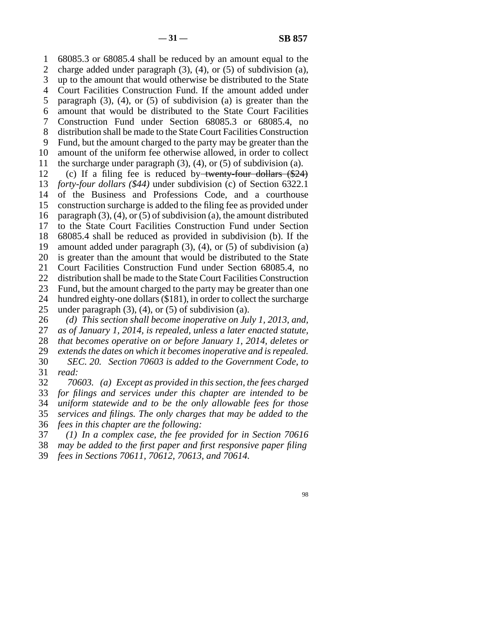1 2 3 4 5 6 7 8 9 10 11 68085.3 or 68085.4 shall be reduced by an amount equal to the charge added under paragraph (3), (4), or (5) of subdivision (a), up to the amount that would otherwise be distributed to the State Court Facilities Construction Fund. If the amount added under paragraph  $(3)$ ,  $(4)$ , or  $(5)$  of subdivision  $(a)$  is greater than the amount that would be distributed to the State Court Facilities Construction Fund under Section 68085.3 or 68085.4, no distribution shall be made to the State Court Facilities Construction Fund, but the amount charged to the party may be greater than the amount of the uniform fee otherwise allowed, in order to collect the surcharge under paragraph  $(3)$ ,  $(4)$ , or  $(5)$  of subdivision  $(a)$ .

12 13 14 15 16 17 18 19 20 21 22 23 24 25 (c) If a filing fee is reduced by twenty-four dollars  $(\$24)$ *forty-four dollars (\$44)* under subdivision (c) of Section 6322.1 of the Business and Professions Code, and a courthouse construction surcharge is added to the filing fee as provided under paragraph  $(3)$ ,  $(4)$ , or  $(5)$  of subdivision  $(a)$ , the amount distributed to the State Court Facilities Construction Fund under Section 68085.4 shall be reduced as provided in subdivision (b). If the amount added under paragraph  $(3)$ ,  $(4)$ , or  $(5)$  of subdivision  $(a)$ is greater than the amount that would be distributed to the State Court Facilities Construction Fund under Section 68085.4, no distribution shall be made to the State Court Facilities Construction Fund, but the amount charged to the party may be greater than one hundred eighty-one dollars (\$181), in order to collect the surcharge under paragraph  $(3)$ ,  $(4)$ , or  $(5)$  of subdivision  $(a)$ .

26 27 28 *(d) This section shall become inoperative on July 1, 2013, and, as of January 1, 2014, is repealed, unless a later enacted statute, that becomes operative on or before January 1, 2014, deletes or*

29 30 31 *extends the dates on which it becomes inoperative and is repealed. SEC. 20. Section 70603 is added to the Government Code, to read:*

32 33 34 35 36 *70603. (a) Except as provided in this section, the fees charged for filings and services under this chapter are intended to be uniform statewide and to be the only allowable fees for those services and filings. The only charges that may be added to the fees in this chapter are the following:*

37 *(1) In a complex case, the fee provided for in Section 70616*

38 *may be added to the first paper and first responsive paper filing*

39 *fees in Sections 70611, 70612, 70613, and 70614.*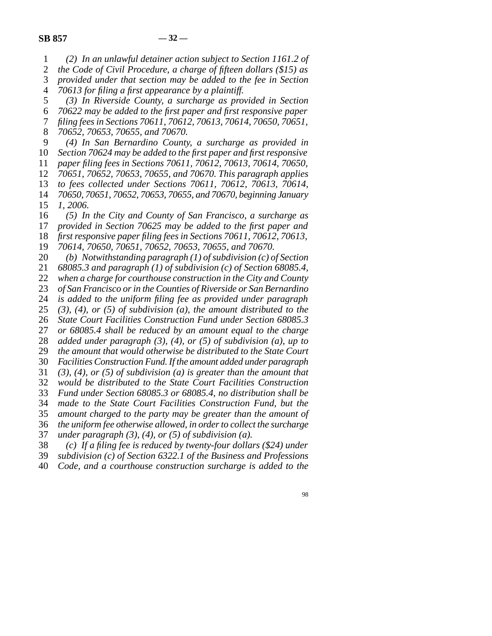1 2 3 4 5 6 7 8 9 10 11 12 13 14 15 16 17 18 19 20 21 22 23 24 25 26 27 28 29 30 31 32 33 34 35 36 37 38 *(2) In an unlawful detainer action subject to Section 1161.2 of the Code of Civil Procedure, a charge of fifteen dollars (\$15) as provided under that section may be added to the fee in Section 70613 for filing a first appearance by a plaintiff. (3) In Riverside County, a surcharge as provided in Section 70622 may be added to the first paper and first responsive paper filing fees in Sections 70611, 70612, 70613, 70614, 70650, 70651, 70652, 70653, 70655, and 70670. (4) In San Bernardino County, a surcharge as provided in Section 70624 may be added to the first paper and first responsive paper filing fees in Sections 70611, 70612, 70613, 70614, 70650, 70651, 70652, 70653, 70655, and 70670. This paragraph applies to fees collected under Sections 70611, 70612, 70613, 70614, 70650, 70651, 70652, 70653, 70655, and 70670, beginning January 1, 2006. (5) In the City and County of San Francisco, a surcharge as provided in Section 70625 may be added to the first paper and first responsive paper filing fees in Sections 70611, 70612, 70613, 70614, 70650, 70651, 70652, 70653, 70655, and 70670. (b) Notwithstanding paragraph (1) of subdivision (c) of Section 68085.3 and paragraph (1) of subdivision (c) of Section 68085.4, when a charge for courthouse construction in the City and County of San Francisco or in the Counties of Riverside or San Bernardino is added to the uniform filing fee as provided under paragraph (3), (4), or (5) of subdivision (a), the amount distributed to the State Court Facilities Construction Fund under Section 68085.3 or 68085.4 shall be reduced by an amount equal to the charge added under paragraph (3), (4), or (5) of subdivision (a), up to the amount that would otherwise be distributed to the State Court Facilities Construction Fund. If the amount added under paragraph (3), (4), or (5) of subdivision (a) is greater than the amount that would be distributed to the State Court Facilities Construction Fund under Section 68085.3 or 68085.4, no distribution shall be made to the State Court Facilities Construction Fund, but the amount charged to the party may be greater than the amount of the uniform fee otherwise allowed, in order to collect the surcharge under paragraph (3), (4), or (5) of subdivision (a). (c) If a filing fee is reduced by twenty-four dollars (\$24) under*

- 39 *subdivision (c) of Section 6322.1 of the Business and Professions*
- 40 *Code, and a courthouse construction surcharge is added to the*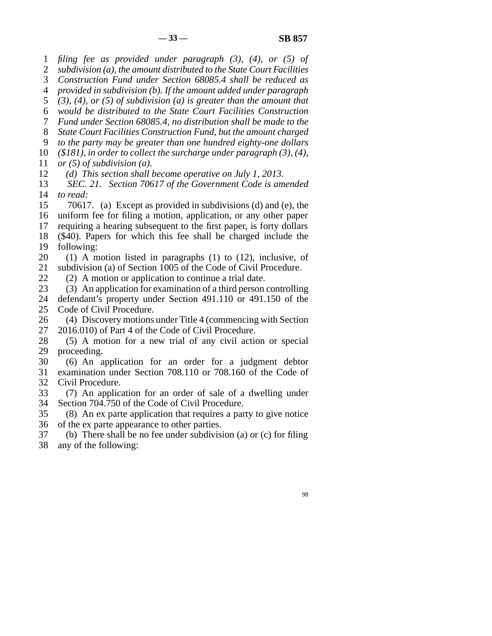1 *filing fee as provided under paragraph (3), (4), or (5) of*

2 3 *subdivision (a), the amount distributed to the State Court Facilities Construction Fund under Section 68085.4 shall be reduced as*

4 *provided in subdivision (b). If the amount added under paragraph*

5 *(3), (4), or (5) of subdivision (a) is greater than the amount that*

6 *would be distributed to the State Court Facilities Construction*

7 *Fund under Section 68085.4, no distribution shall be made to the*

8 *State Court Facilities Construction Fund, but the amount charged*

9 *to the party may be greater than one hundred eighty-one dollars*

10 *(\$181), in order to collect the surcharge under paragraph (3), (4),*

11 *or (5) of subdivision (a).*

12 *(d) This section shall become operative on July 1, 2013.*

13 14 *SEC. 21. Section 70617 of the Government Code is amended to read:*

15 16 70617. (a) Except as provided in subdivisions (d) and (e), the uniform fee for filing a motion, application, or any other paper

17 requiring a hearing subsequent to the first paper, is forty dollars

18 19 (\$40). Papers for which this fee shall be charged include the following:

20 21 (1) A motion listed in paragraphs (1) to (12), inclusive, of subdivision (a) of Section 1005 of the Code of Civil Procedure.

22 (2) A motion or application to continue a trial date.

23 (3) An application for examination of a third person controlling

24 25 defendant's property under Section 491.110 or 491.150 of the Code of Civil Procedure.

26 27 (4) Discovery motions under Title 4 (commencing with Section 2016.010) of Part 4 of the Code of Civil Procedure.

28 29 (5) A motion for a new trial of any civil action or special proceeding.

30 31 32 (6) An application for an order for a judgment debtor examination under Section 708.110 or 708.160 of the Code of Civil Procedure.

33 34 (7) An application for an order of sale of a dwelling under Section 704.750 of the Code of Civil Procedure.

35 36 (8) An ex parte application that requires a party to give notice of the ex parte appearance to other parties.

37 38 (b) There shall be no fee under subdivision (a) or (c) for filing any of the following: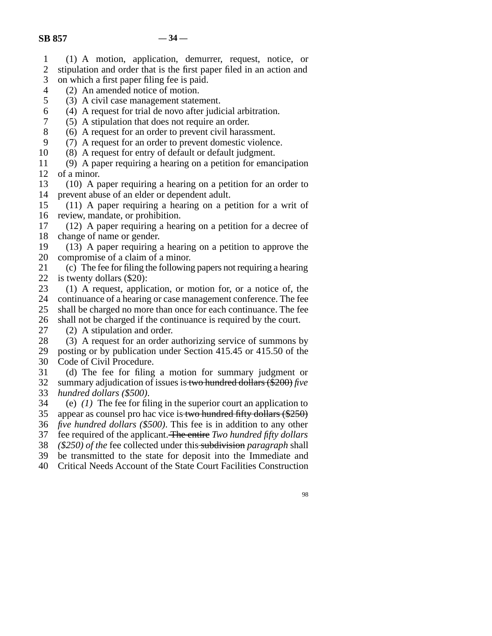- 1 (1) A motion, application, demurrer, request, notice, or
- 2 3 stipulation and order that is the first paper filed in an action and on which a first paper filing fee is paid.
- 4 (2) An amended notice of motion.
- 5
- (3) A civil case management statement.
- 6 (4) A request for trial de novo after judicial arbitration.
- 7 (5) A stipulation that does not require an order.
- 8 (6) A request for an order to prevent civil harassment.
- 9 (7) A request for an order to prevent domestic violence.
- 10 (8) A request for entry of default or default judgment.
- 11 12 (9) A paper requiring a hearing on a petition for emancipation of a minor.
- 13 14 (10) A paper requiring a hearing on a petition for an order to prevent abuse of an elder or dependent adult.
- 15 16 (11) A paper requiring a hearing on a petition for a writ of review, mandate, or prohibition.
- 17 18 (12) A paper requiring a hearing on a petition for a decree of change of name or gender.
- 19 20 (13) A paper requiring a hearing on a petition to approve the compromise of a claim of a minor.
- 21 22 (c) The fee for filing the following papers not requiring a hearing is twenty dollars (\$20):
- 23 24 25 26 (1) A request, application, or motion for, or a notice of, the continuance of a hearing or case management conference. The fee shall be charged no more than once for each continuance. The fee shall not be charged if the continuance is required by the court.
- 27 (2) A stipulation and order.
- 28 (3) A request for an order authorizing service of summons by
- 29 30 posting or by publication under Section 415.45 or 415.50 of the Code of Civil Procedure.
- 31 32 33 (d) The fee for filing a motion for summary judgment or summary adjudication of issues is two hundred dollars (\$200) *five hundred dollars (\$500)*.
- 34 35 36 37 (e) *(1)* The fee for filing in the superior court an application to appear as counsel pro hac vice is two hundred fifty dollars (\$250) *five hundred dollars (\$500)*. This fee is in addition to any other fee required of the applicant. The entire *Two hundred fifty dollars*
- 38 *(\$250) of the* fee collected under this subdivision *paragraph* shall
- 39 be transmitted to the state for deposit into the Immediate and
- 40 Critical Needs Account of the State Court Facilities Construction
	- 98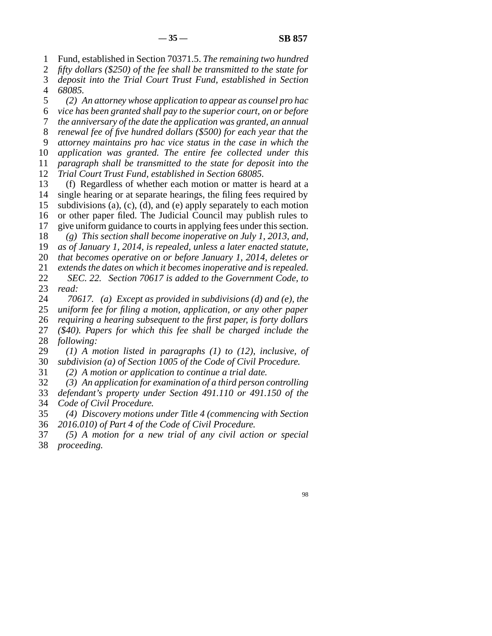1 Fund, established in Section 70371.5. *The remaining two hundred*

2 *fifty dollars (\$250) of the fee shall be transmitted to the state for*

3 4 *deposit into the Trial Court Trust Fund, established in Section 68085.*

5 *(2) An attorney whose application to appear as counsel pro hac*

6 *vice has been granted shall pay to the superior court, on or before*

7 *the anniversary of the date the application was granted, an annual*

8 *renewal fee of five hundred dollars (\$500) for each year that the*

9 *attorney maintains pro hac vice status in the case in which the*

10 *application was granted. The entire fee collected under this*

11 *paragraph shall be transmitted to the state for deposit into the*

12 *Trial Court Trust Fund, established in Section 68085.*

13 14 15 16 (f) Regardless of whether each motion or matter is heard at a single hearing or at separate hearings, the filing fees required by subdivisions (a), (c), (d), and (e) apply separately to each motion or other paper filed. The Judicial Council may publish rules to

17 give uniform guidance to courts in applying fees under this section.

18 *(g) This section shall become inoperative on July 1, 2013, and,*

19 *as of January 1, 2014, is repealed, unless a later enacted statute,*

20 *that becomes operative on or before January 1, 2014, deletes or*

21 *extends the dates on which it becomes inoperative and is repealed.*

22 23 *SEC. 22. Section 70617 is added to the Government Code, to read:*

24 25 26 27 28 *70617. (a) Except as provided in subdivisions (d) and (e), the uniform fee for filing a motion, application, or any other paper requiring a hearing subsequent to the first paper, is forty dollars (\$40). Papers for which this fee shall be charged include the following:*

29 30 *(1) A motion listed in paragraphs (1) to (12), inclusive, of subdivision (a) of Section 1005 of the Code of Civil Procedure.*

31 *(2) A motion or application to continue a trial date.*

32 *(3) An application for examination of a third person controlling*

33 34 *defendant's property under Section 491.110 or 491.150 of the Code of Civil Procedure.*

35 36 *(4) Discovery motions under Title 4 (commencing with Section 2016.010) of Part 4 of the Code of Civil Procedure.*

37 38 *(5) A motion for a new trial of any civil action or special proceeding.*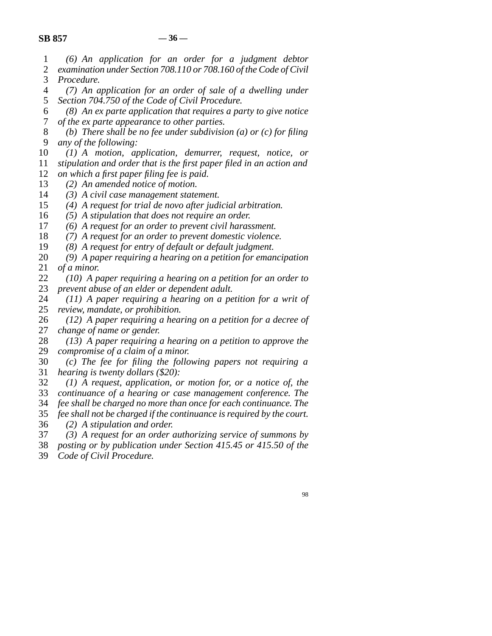1 *(6) An application for an order for a judgment debtor*

- 2 3 *examination under Section 708.110 or 708.160 of the Code of Civil Procedure.*
- 4 5 *(7) An application for an order of sale of a dwelling under Section 704.750 of the Code of Civil Procedure.*
- 6 7 *(8) An ex parte application that requires a party to give notice of the ex parte appearance to other parties.*
- 8 9 *(b) There shall be no fee under subdivision (a) or (c) for filing any of the following:*
- 10 *(1) A motion, application, demurrer, request, notice, or*
- 11 *stipulation and order that is the first paper filed in an action and*
- 12 *on which a first paper filing fee is paid.*
- 13 *(2) An amended notice of motion.*
- 14 *(3) A civil case management statement.*
- 15 *(4) A request for trial de novo after judicial arbitration.*
- 16 *(5) A stipulation that does not require an order.*
- 17 *(6) A request for an order to prevent civil harassment.*
- 18 *(7) A request for an order to prevent domestic violence.*
- 19 *(8) A request for entry of default or default judgment.*
- 20 21 *(9) A paper requiring a hearing on a petition for emancipation of a minor.*
- 22 23 *(10) A paper requiring a hearing on a petition for an order to prevent abuse of an elder or dependent adult.*
- 24 25 *(11) A paper requiring a hearing on a petition for a writ of review, mandate, or prohibition.*
- 26 27 *(12) A paper requiring a hearing on a petition for a decree of change of name or gender.*
- 28 29 *(13) A paper requiring a hearing on a petition to approve the compromise of a claim of a minor.*
- 30 31 *(c) The fee for filing the following papers not requiring a hearing is twenty dollars (\$20):*
- 32 33 *(1) A request, application, or motion for, or a notice of, the continuance of a hearing or case management conference. The*
- 34 *fee shall be charged no more than once for each continuance. The*
- 35 *fee shall not be charged if the continuance is required by the court.*
- 
- 36 *(2) A stipulation and order.*
- 37 *(3) A request for an order authorizing service of summons by*
- 38 *posting or by publication under Section 415.45 or 415.50 of the*
- 39 *Code of Civil Procedure.*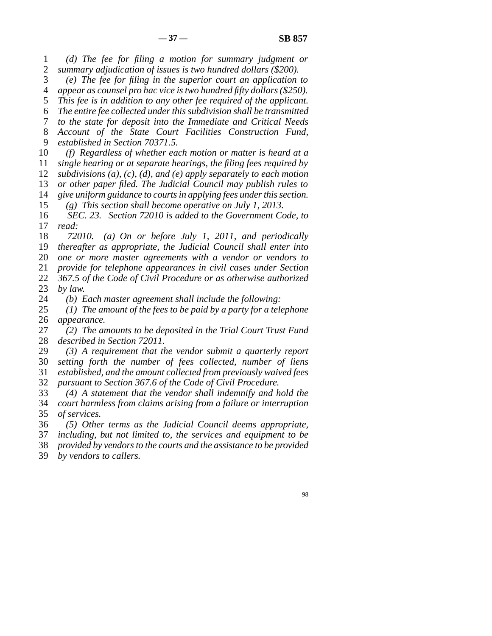1 2 *(d) The fee for filing a motion for summary judgment or summary adjudication of issues is two hundred dollars (\$200).*

3 4 *(e) The fee for filing in the superior court an application to appear as counsel pro hac vice is two hundred fifty dollars (\$250).*

5 *This fee is in addition to any other fee required of the applicant.*

6 *The entire fee collected under this subdivision shall be transmitted*

7 *to the state for deposit into the Immediate and Critical Needs*

8 9 *Account of the State Court Facilities Construction Fund, established in Section 70371.5.*

10 11 12 13 14 15 *(f) Regardless of whether each motion or matter is heard at a single hearing or at separate hearings, the filing fees required by subdivisions (a), (c), (d), and (e) apply separately to each motion or other paper filed. The Judicial Council may publish rules to give uniform guidance to courts in applying fees under this section. (g) This section shall become operative on July 1, 2013.*

16 17 *SEC. 23. Section 72010 is added to the Government Code, to read:*

18 19 20 21 22 23 *72010. (a) On or before July 1, 2011, and periodically thereafter as appropriate, the Judicial Council shall enter into one or more master agreements with a vendor or vendors to provide for telephone appearances in civil cases under Section 367.5 of the Code of Civil Procedure or as otherwise authorized by law.*

24 *(b) Each master agreement shall include the following:*

25 26 *(1) The amount of the fees to be paid by a party for a telephone appearance.*

27 28 *(2) The amounts to be deposited in the Trial Court Trust Fund described in Section 72011.*

29 30 *(3) A requirement that the vendor submit a quarterly report setting forth the number of fees collected, number of liens*

31 *established, and the amount collected from previously waived fees*

32 *pursuant to Section 367.6 of the Code of Civil Procedure.*

33 34 35 *(4) A statement that the vendor shall indemnify and hold the court harmless from claims arising from a failure or interruption of services.*

36 *(5) Other terms as the Judicial Council deems appropriate,*

37 *including, but not limited to, the services and equipment to be*

38 *provided by vendors to the courts and the assistance to be provided*

39 *by vendors to callers.*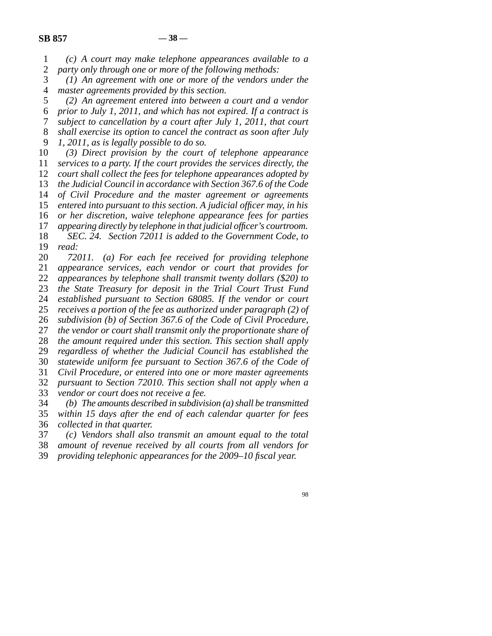1 2 *(c) A court may make telephone appearances available to a party only through one or more of the following methods:*

3 4 *(1) An agreement with one or more of the vendors under the master agreements provided by this section.*

5 6 7 8 9 *(2) An agreement entered into between a court and a vendor prior to July 1, 2011, and which has not expired. If a contract is subject to cancellation by a court after July 1, 2011, that court shall exercise its option to cancel the contract as soon after July 1, 2011, as is legally possible to do so.*

10 11 12 13 14 15 16 17 18 19 *(3) Direct provision by the court of telephone appearance services to a party. If the court provides the services directly, the court shall collect the fees for telephone appearances adopted by the Judicial Council in accordance with Section 367.6 of the Code of Civil Procedure and the master agreement or agreements entered into pursuant to this section. A judicial officer may, in his or her discretion, waive telephone appearance fees for parties appearing directly by telephone in that judicial officer's courtroom. SEC. 24. Section 72011 is added to the Government Code, to read:*

20 21 22 23 24 25 26 27 28 29 30 31 32 33 *72011. (a) For each fee received for providing telephone appearance services, each vendor or court that provides for appearances by telephone shall transmit twenty dollars (\$20) to the State Treasury for deposit in the Trial Court Trust Fund established pursuant to Section 68085. If the vendor or court receives a portion of the fee as authorized under paragraph (2) of subdivision (b) of Section 367.6 of the Code of Civil Procedure, the vendor or court shall transmit only the proportionate share of the amount required under this section. This section shall apply regardless of whether the Judicial Council has established the statewide uniform fee pursuant to Section 367.6 of the Code of Civil Procedure, or entered into one or more master agreements pursuant to Section 72010. This section shall not apply when a vendor or court does not receive a fee.*

34 35 *(b) The amounts described in subdivision (a) shall be transmitted within 15 days after the end of each calendar quarter for fees*

36 *collected in that quarter.*

37 *(c) Vendors shall also transmit an amount equal to the total*

38 *amount of revenue received by all courts from all vendors for*

39 *providing telephonic appearances for the 2009–10 fiscal year.*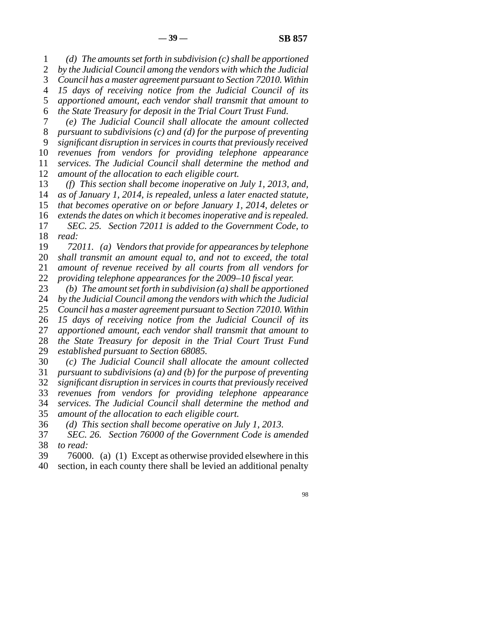1 2 3 4 5 6 7 8 9 10 11 12 13 14 15 16 17 18 19 20 21 22 23 24 25 26 27 28 29 30 31 32 33 34 35 *(d) The amounts set forth in subdivision (c) shall be apportioned by the Judicial Council among the vendors with which the Judicial Council has a master agreement pursuant to Section 72010. Within 15 days of receiving notice from the Judicial Council of its apportioned amount, each vendor shall transmit that amount to the State Treasury for deposit in the Trial Court Trust Fund. (e) The Judicial Council shall allocate the amount collected pursuant to subdivisions (c) and (d) for the purpose of preventing significant disruption in services in courts that previously received revenues from vendors for providing telephone appearance services. The Judicial Council shall determine the method and amount of the allocation to each eligible court. (f) This section shall become inoperative on July 1, 2013, and, as of January 1, 2014, is repealed, unless a later enacted statute, that becomes operative on or before January 1, 2014, deletes or extends the dates on which it becomes inoperative and is repealed. SEC. 25. Section 72011 is added to the Government Code, to read: 72011. (a) Vendors that provide for appearances by telephone shall transmit an amount equal to, and not to exceed, the total amount of revenue received by all courts from all vendors for providing telephone appearances for the 2009–10 fiscal year. (b) The amount set forth in subdivision (a) shall be apportioned by the Judicial Council among the vendors with which the Judicial Council has a master agreement pursuant to Section 72010. Within 15 days of receiving notice from the Judicial Council of its apportioned amount, each vendor shall transmit that amount to the State Treasury for deposit in the Trial Court Trust Fund established pursuant to Section 68085. (c) The Judicial Council shall allocate the amount collected pursuant to subdivisions (a) and (b) for the purpose of preventing significant disruption in services in courts that previously received revenues from vendors for providing telephone appearance services. The Judicial Council shall determine the method and amount of the allocation to each eligible court.*

36 *(d) This section shall become operative on July 1, 2013.*

37 38 *SEC. 26. Section 76000 of the Government Code is amended to read:*

39 40 76000. (a) (1) Except as otherwise provided elsewhere in this section, in each county there shall be levied an additional penalty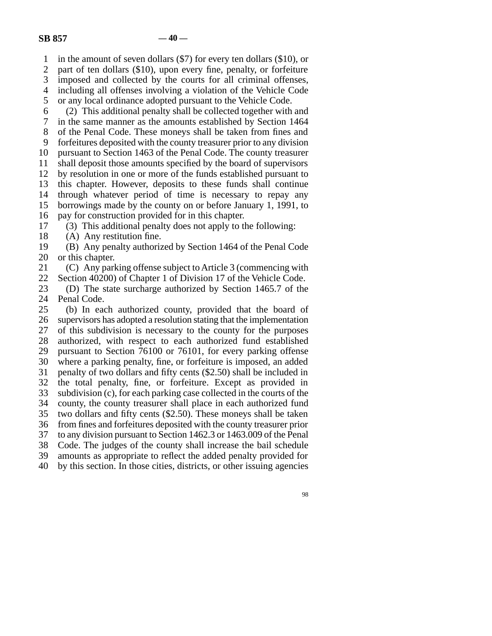1 in the amount of seven dollars (\$7) for every ten dollars (\$10), or

2 3 part of ten dollars (\$10), upon every fine, penalty, or forfeiture imposed and collected by the courts for all criminal offenses,

4 including all offenses involving a violation of the Vehicle Code

5 or any local ordinance adopted pursuant to the Vehicle Code.

6 (2) This additional penalty shall be collected together with and

7 in the same manner as the amounts established by Section 1464

8 of the Penal Code. These moneys shall be taken from fines and

9 forfeitures deposited with the county treasurer prior to any division

10 pursuant to Section 1463 of the Penal Code. The county treasurer

11 shall deposit those amounts specified by the board of supervisors

12 by resolution in one or more of the funds established pursuant to

13 this chapter. However, deposits to these funds shall continue

14 through whatever period of time is necessary to repay any

15 borrowings made by the county on or before January 1, 1991, to

16 pay for construction provided for in this chapter.

17 (3) This additional penalty does not apply to the following:

18 (A) Any restitution fine.

19 20 (B) Any penalty authorized by Section 1464 of the Penal Code or this chapter.

21 22 (C) Any parking offense subject to Article 3 (commencing with Section 40200) of Chapter 1 of Division 17 of the Vehicle Code.

23 24 (D) The state surcharge authorized by Section 1465.7 of the Penal Code.

25 26 27 28 29 30 31 32 33 34 35 36 37 38 39 (b) In each authorized county, provided that the board of supervisors has adopted a resolution stating that the implementation of this subdivision is necessary to the county for the purposes authorized, with respect to each authorized fund established pursuant to Section 76100 or 76101, for every parking offense where a parking penalty, fine, or forfeiture is imposed, an added penalty of two dollars and fifty cents (\$2.50) shall be included in the total penalty, fine, or forfeiture. Except as provided in subdivision (c), for each parking case collected in the courts of the county, the county treasurer shall place in each authorized fund two dollars and fifty cents (\$2.50). These moneys shall be taken from fines and forfeitures deposited with the county treasurer prior to any division pursuant to Section 1462.3 or 1463.009 of the Penal Code. The judges of the county shall increase the bail schedule amounts as appropriate to reflect the added penalty provided for

40 by this section. In those cities, districts, or other issuing agencies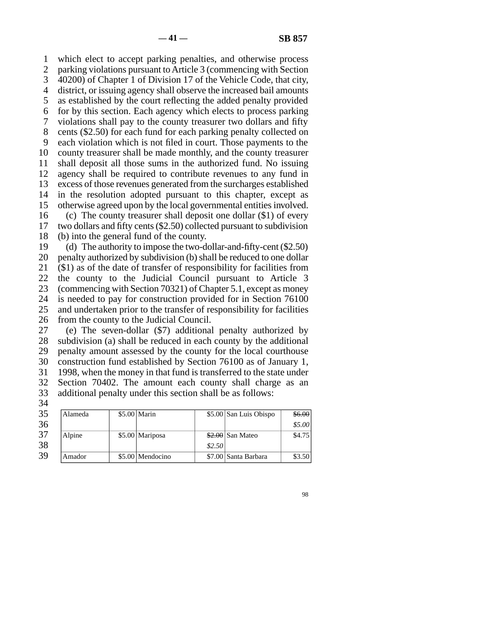1 2 3 4 5 6 7 8 9 10 11 12 13 14 15 16 17 18 19 20 21 22 23 which elect to accept parking penalties, and otherwise process parking violations pursuant to Article 3 (commencing with Section 40200) of Chapter 1 of Division 17 of the Vehicle Code, that city, district, or issuing agency shall observe the increased bail amounts as established by the court reflecting the added penalty provided for by this section. Each agency which elects to process parking violations shall pay to the county treasurer two dollars and fifty cents (\$2.50) for each fund for each parking penalty collected on each violation which is not filed in court. Those payments to the county treasurer shall be made monthly, and the county treasurer shall deposit all those sums in the authorized fund. No issuing agency shall be required to contribute revenues to any fund in excess of those revenues generated from the surcharges established in the resolution adopted pursuant to this chapter, except as otherwise agreed upon by the local governmental entities involved. (c) The county treasurer shall deposit one dollar (\$1) of every two dollars and fifty cents (\$2.50) collected pursuant to subdivision (b) into the general fund of the county. (d) The authority to impose the two-dollar-and-fifty-cent (\$2.50) penalty authorized by subdivision (b) shall be reduced to one dollar (\$1) as of the date of transfer of responsibility for facilities from the county to the Judicial Council pursuant to Article 3 (commencing with Section 70321) of Chapter 5.1, except as money

24 25 26 is needed to pay for construction provided for in Section 76100 and undertaken prior to the transfer of responsibility for facilities from the county to the Judicial Council.

27 28 29 30 31 32 33 (e) The seven-dollar (\$7) additional penalty authorized by subdivision (a) shall be reduced in each county by the additional penalty amount assessed by the county for the local courthouse construction fund established by Section 76100 as of January 1, 1998, when the money in that fund is transferred to the state under Section 70402. The amount each county shall charge as an additional penalty under this section shall be as follows:

| 35 | Alameda | \$5.00 Marin     |        | \$5.00 San Luis Obispo | \$6.00 |
|----|---------|------------------|--------|------------------------|--------|
| 36 |         |                  |        |                        | \$5.00 |
| 37 | Alpine  | \$5.00 Mariposa  |        | $$2.00$ San Mateo      | \$4.75 |
| 38 |         |                  | \$2.50 |                        |        |
| 39 | Amador  | \$5.00 Mendocino |        | \$7.00 Santa Barbara   | \$3.50 |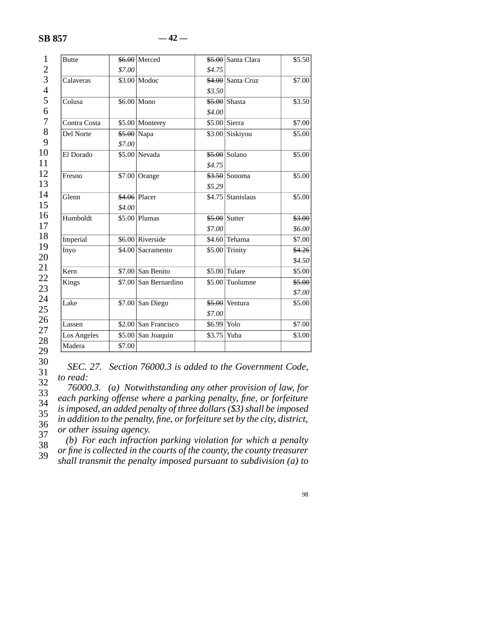## **SB 857 — 42 —**

| <b>Butte</b> |             | $$6.00$ Merced        |              | \$5.00 Santa Clara       | \$5.50             |
|--------------|-------------|-----------------------|--------------|--------------------------|--------------------|
|              | \$7.00      |                       | \$4.75       |                          |                    |
| Calaveras    |             | $$3.00$ Modoc         |              | $$4.00$ Santa Cruz       | \$7.00             |
|              |             |                       | \$3.50       |                          |                    |
| Colusa       |             | $$6.00 \vert$ Mono    |              | \$5.00 Shasta            | \$3.50             |
|              |             |                       | \$4.00       |                          |                    |
| Contra Costa |             | \$5.00 Monterey       |              | $$5.00$ Sierra           | $\overline{$}7.00$ |
| Del Norte    | \$5.00 Napa |                       |              | \$3.00 Siskiyou          | \$5.00             |
|              | \$7.00      |                       |              |                          |                    |
| El Dorado    |             | \$5.00 Nevada         |              | $$5.00$ Solano           | \$5.00             |
|              |             |                       | \$4.75       |                          |                    |
| Fresno       |             | \$7.00 Orange         |              | <del>\$3.50</del> Sonoma | \$5.00             |
|              |             |                       | \$5.29       |                          |                    |
| Glenn        |             | \$4.06 Placer         |              | \$4.75 Stanislaus        | \$5.00             |
|              | \$4.00      |                       |              |                          |                    |
| Humboldt     |             | $$5.00$ Plumas        |              | $$5.00$ Sutter           | \$3.00             |
|              |             |                       | \$7.00       |                          | \$6.00             |
| Imperial     |             | \$6.00 Riverside      |              | \$4.60 Tehama            | \$7.00             |
| Inyo         |             | \$4.00 Sacramento     |              | $$5.00$ Trinity          | \$4.26             |
|              |             |                       |              |                          | \$4.50             |
| Kern         |             | $$7.00$ San Benito    |              | \$5.00 Tulare            | \$5.00             |
| Kings        |             | \$7.00 San Bernardino |              | \$5.00 Tuolumne          | \$5.00             |
|              |             |                       |              |                          | \$7.00             |
| Lake         |             | $$7.00$ San Diego     |              | $$5.00$ Ventura          | \$5.00             |
|              |             |                       | \$7.00       |                          |                    |
| Lassen       |             | \$2.00 San Francisco  | $$6.99$ Yolo |                          | \$7.00             |
| Los Angeles  |             | \$5.00 San Joaquin    | \$3.75       | Yuba                     | \$3.00             |
| Madera       | \$7.00      |                       |              |                          |                    |

30

31 32 *SEC. 27. Section 76000.3 is added to the Government Code, to read:*

33 34 35 36 37 *76000.3. (a) Notwithstanding any other provision of law, for each parking offense where a parking penalty, fine, or forfeiture is imposed, an added penalty of three dollars (\$3) shall be imposed in addition to the penalty, fine, or forfeiture set by the city, district, or other issuing agency.*

38 39 *(b) For each infraction parking violation for which a penalty or fine is collected in the courts of the county, the county treasurer shall transmit the penalty imposed pursuant to subdivision (a) to*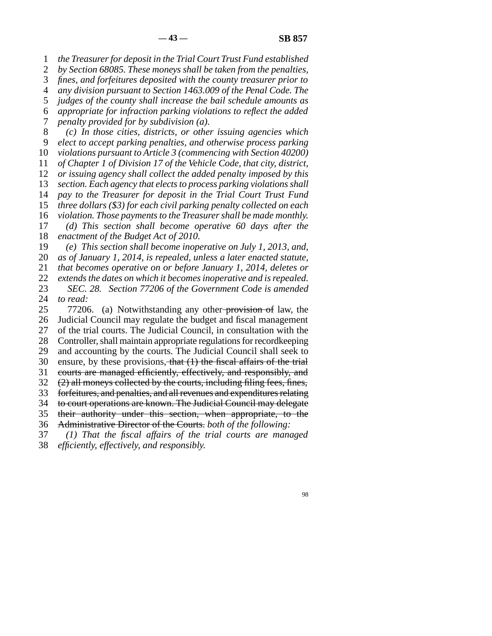1 2 3 4 5 6 7 8 9 10 11 12 13 14 15 16 17 18 19 20 21 22 23 24 25 26 27 28 29 30 31 32 33 34 35 36 37 *the Treasurer for deposit in the Trial Court Trust Fund established by Section 68085. These moneys shall be taken from the penalties, fines, and forfeitures deposited with the county treasurer prior to any division pursuant to Section 1463.009 of the Penal Code. The judges of the county shall increase the bail schedule amounts as appropriate for infraction parking violations to reflect the added penalty provided for by subdivision (a). (c) In those cities, districts, or other issuing agencies which elect to accept parking penalties, and otherwise process parking violations pursuant to Article 3 (commencing with Section 40200) of Chapter 1 of Division 17 of the Vehicle Code, that city, district, or issuing agency shall collect the added penalty imposed by this section. Each agency that elects to process parking violations shall pay to the Treasurer for deposit in the Trial Court Trust Fund three dollars (\$3) for each civil parking penalty collected on each violation. Those payments to the Treasurer shall be made monthly. (d) This section shall become operative 60 days after the enactment of the Budget Act of 2010. (e) This section shall become inoperative on July 1, 2013, and, as of January 1, 2014, is repealed, unless a later enacted statute, that becomes operative on or before January 1, 2014, deletes or extends the dates on which it becomes inoperative and is repealed. SEC. 28. Section 77206 of the Government Code is amended to read:* 77206. (a) Notwithstanding any other-provision of law, the Judicial Council may regulate the budget and fiscal management of the trial courts. The Judicial Council, in consultation with the Controller, shall maintain appropriate regulations for recordkeeping and accounting by the courts. The Judicial Council shall seek to ensure, by these provisions, that  $(1)$  the fiscal affairs of the trial courts are managed efficiently, effectively, and responsibly, and (2) all moneys collected by the courts, including filing fees, fines, forfeitures, and penalties, and all revenues and expenditures relating to court operations are known. The Judicial Council may delegate their authority under this section, when appropriate, to the Administrative Director of the Courts. *both of the following: (1) That the fiscal affairs of the trial courts are managed*

38 *efficiently, effectively, and responsibly.*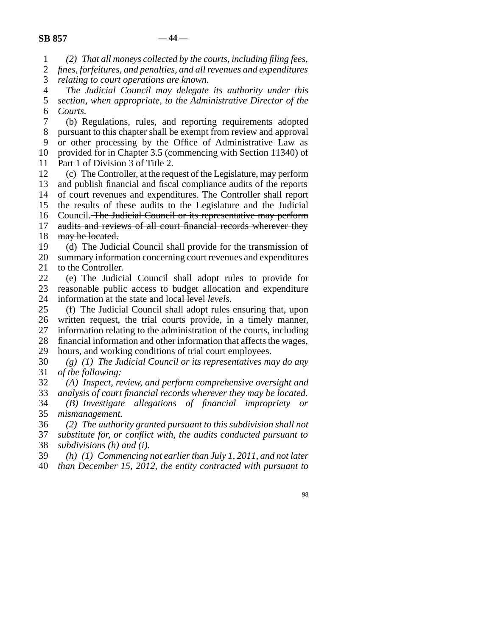1 *(2) That all moneys collected by the courts, including filing fees,*

2 3 *fines, forfeitures, and penalties, and all revenues and expenditures relating to court operations are known.*

4 5 6 *The Judicial Council may delegate its authority under this section, when appropriate, to the Administrative Director of the Courts.*

7 8 9 10 11 (b) Regulations, rules, and reporting requirements adopted pursuant to this chapter shall be exempt from review and approval or other processing by the Office of Administrative Law as provided for in Chapter 3.5 (commencing with Section 11340) of Part 1 of Division 3 of Title 2.

12 13 14 15 16 17 18 (c) The Controller, at the request of the Legislature, may perform and publish financial and fiscal compliance audits of the reports of court revenues and expenditures. The Controller shall report the results of these audits to the Legislature and the Judicial Council. The Judicial Council or its representative may perform audits and reviews of all court financial records wherever they may be located.

19 20 21 (d) The Judicial Council shall provide for the transmission of summary information concerning court revenues and expenditures to the Controller.

22 23 24 (e) The Judicial Council shall adopt rules to provide for reasonable public access to budget allocation and expenditure information at the state and local level *levels*.

25 26 27 28 29 (f) The Judicial Council shall adopt rules ensuring that, upon written request, the trial courts provide, in a timely manner, information relating to the administration of the courts, including financial information and other information that affects the wages, hours, and working conditions of trial court employees.

30 31 *(g) (1) The Judicial Council or its representatives may do any of the following:*

32 *(A) Inspect, review, and perform comprehensive oversight and*

33 34 35 *analysis of court financial records wherever they may be located. (B) Investigate allegations of financial impropriety or mismanagement.*

36 37 38 *(2) The authority granted pursuant to this subdivision shall not substitute for, or conflict with, the audits conducted pursuant to subdivisions (h) and (i).*

39 40 *(h) (1) Commencing not earlier than July 1, 2011, and not later than December 15, 2012, the entity contracted with pursuant to*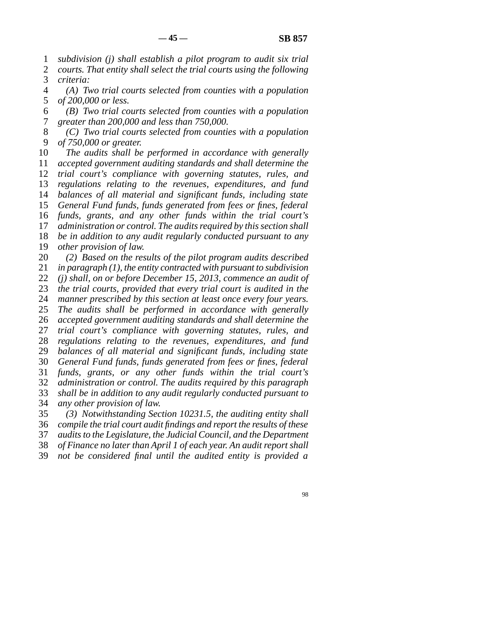1 2 *subdivision (j) shall establish a pilot program to audit six trial courts. That entity shall select the trial courts using the following*

3 *criteria:*

4 5 *(A) Two trial courts selected from counties with a population of 200,000 or less.*

6 7 *(B) Two trial courts selected from counties with a population greater than 200,000 and less than 750,000.*

8 9 *(C) Two trial courts selected from counties with a population of 750,000 or greater.*

10 11 12 13 14 15 16 17 18 19 20 *The audits shall be performed in accordance with generally accepted government auditing standards and shall determine the trial court's compliance with governing statutes, rules, and regulations relating to the revenues, expenditures, and fund balances of all material and significant funds, including state General Fund funds, funds generated from fees or fines, federal funds, grants, and any other funds within the trial court's administration or control. The audits required by this section shall be in addition to any audit regularly conducted pursuant to any other provision of law. (2) Based on the results of the pilot program audits described*

21 22 23 24 25 26 27 28 29 30 31 32 33 34 *in paragraph (1), the entity contracted with pursuant to subdivision (j) shall, on or before December 15, 2013, commence an audit of the trial courts, provided that every trial court is audited in the manner prescribed by this section at least once every four years. The audits shall be performed in accordance with generally accepted government auditing standards and shall determine the trial court's compliance with governing statutes, rules, and regulations relating to the revenues, expenditures, and fund balances of all material and significant funds, including state General Fund funds, funds generated from fees or fines, federal funds, grants, or any other funds within the trial court's administration or control. The audits required by this paragraph shall be in addition to any audit regularly conducted pursuant to any other provision of law.*

35 36 37 38 *(3) Notwithstanding Section 10231.5, the auditing entity shall compile the trial court audit findings and report the results of these audits to the Legislature, the Judicial Council, and the Department of Finance no later than April 1 of each year. An audit report shall*

39 *not be considered final until the audited entity is provided a*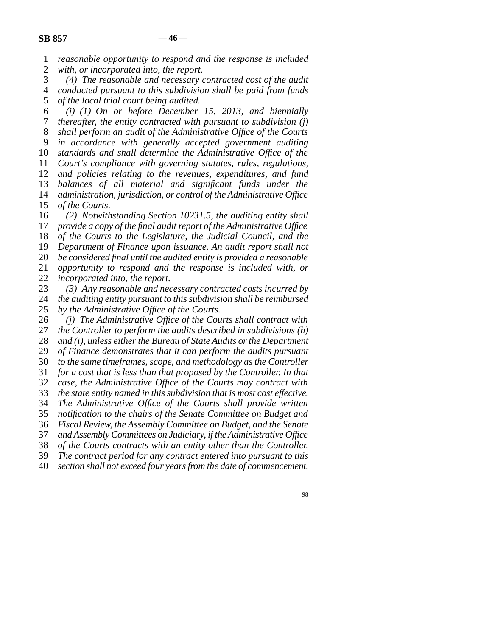1 2 *reasonable opportunity to respond and the response is included with, or incorporated into, the report.*

3 4 5 *(4) The reasonable and necessary contracted cost of the audit conducted pursuant to this subdivision shall be paid from funds of the local trial court being audited.*

6 7 8 9 10 11 12 13 14 15 16 17 *(i) (1) On or before December 15, 2013, and biennially thereafter, the entity contracted with pursuant to subdivision (j) shall perform an audit of the Administrative Office of the Courts in accordance with generally accepted government auditing standards and shall determine the Administrative Office of the Court's compliance with governing statutes, rules, regulations, and policies relating to the revenues, expenditures, and fund balances of all material and significant funds under the administration, jurisdiction, or control of the Administrative Office of the Courts. (2) Notwithstanding Section 10231.5, the auditing entity shall provide a copy of the final audit report of the Administrative Office*

18 19 20 21 22 *of the Courts to the Legislature, the Judicial Council, and the Department of Finance upon issuance. An audit report shall not be considered final until the audited entity is provided a reasonable opportunity to respond and the response is included with, or incorporated into, the report.*

23 *(3) Any reasonable and necessary contracted costs incurred by*

24 25 *the auditing entity pursuant to this subdivision shall be reimbursed by the Administrative Office of the Courts.*

26 27 28 29 30 31 32 33 34 35 36 37 38 39 40 *(j) The Administrative Office of the Courts shall contract with the Controller to perform the audits described in subdivisions (h) and (i), unless either the Bureau of State Audits or the Department of Finance demonstrates that it can perform the audits pursuant to the same timeframes, scope, and methodology as the Controller for a cost that is less than that proposed by the Controller. In that case, the Administrative Office of the Courts may contract with the state entity named in this subdivision that is most cost effective. The Administrative Office of the Courts shall provide written notification to the chairs of the Senate Committee on Budget and Fiscal Review, the Assembly Committee on Budget, and the Senate and Assembly Committees on Judiciary, if the Administrative Office of the Courts contracts with an entity other than the Controller. The contract period for any contract entered into pursuant to this section shall not exceed four years from the date of commencement.*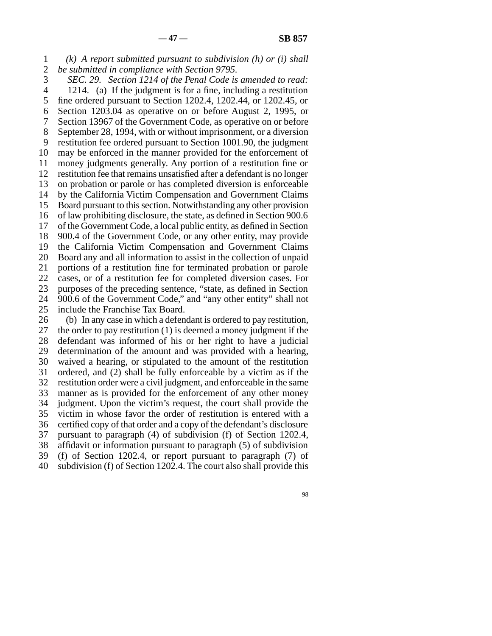1 2 *(k) A report submitted pursuant to subdivision (h) or (i) shall be submitted in compliance with Section 9795.*

3 4 5 6 7 8 9 10 11 12 13 14 15 16 17 18 19 20 21 22 23 24 25 26 *SEC. 29. Section 1214 of the Penal Code is amended to read:* 1214. (a) If the judgment is for a fine, including a restitution fine ordered pursuant to Section 1202.4, 1202.44, or 1202.45, or Section 1203.04 as operative on or before August 2, 1995, or Section 13967 of the Government Code, as operative on or before September 28, 1994, with or without imprisonment, or a diversion restitution fee ordered pursuant to Section 1001.90, the judgment may be enforced in the manner provided for the enforcement of money judgments generally. Any portion of a restitution fine or restitution fee that remains unsatisfied after a defendant is no longer on probation or parole or has completed diversion is enforceable by the California Victim Compensation and Government Claims Board pursuant to this section. Notwithstanding any other provision of law prohibiting disclosure, the state, as defined in Section 900.6 of the Government Code, a local public entity, as defined in Section 900.4 of the Government Code, or any other entity, may provide the California Victim Compensation and Government Claims Board any and all information to assist in the collection of unpaid portions of a restitution fine for terminated probation or parole cases, or of a restitution fee for completed diversion cases. For purposes of the preceding sentence, "state, as defined in Section 900.6 of the Government Code," and "any other entity" shall not include the Franchise Tax Board. (b) In any case in which a defendant is ordered to pay restitution, the order to pay restitution (1) is deemed a money judgment if the

27 28 29 30 31 32 33 34 35 36 37 38 39 40 defendant was informed of his or her right to have a judicial determination of the amount and was provided with a hearing, waived a hearing, or stipulated to the amount of the restitution ordered, and (2) shall be fully enforceable by a victim as if the restitution order were a civil judgment, and enforceable in the same manner as is provided for the enforcement of any other money judgment. Upon the victim's request, the court shall provide the victim in whose favor the order of restitution is entered with a certified copy of that order and a copy of the defendant's disclosure pursuant to paragraph (4) of subdivision (f) of Section 1202.4, affidavit or information pursuant to paragraph (5) of subdivision (f) of Section 1202.4, or report pursuant to paragraph (7) of subdivision (f) of Section 1202.4. The court also shall provide this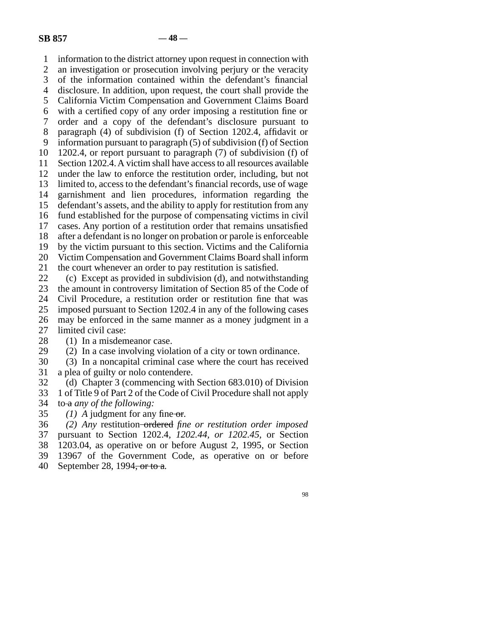1 2 3 4 5 6 7 8 9 10 11 12 13 14 15 16 17 18 19 20 21 22 23 24 25 26 27 28 29 30 31 32 information to the district attorney upon request in connection with an investigation or prosecution involving perjury or the veracity of the information contained within the defendant's financial disclosure. In addition, upon request, the court shall provide the California Victim Compensation and Government Claims Board with a certified copy of any order imposing a restitution fine or order and a copy of the defendant's disclosure pursuant to paragraph (4) of subdivision (f) of Section 1202.4, affidavit or information pursuant to paragraph (5) of subdivision (f) of Section 1202.4, or report pursuant to paragraph (7) of subdivision (f) of Section 1202.4. A victim shall have access to all resources available under the law to enforce the restitution order, including, but not limited to, access to the defendant's financial records, use of wage garnishment and lien procedures, information regarding the defendant's assets, and the ability to apply for restitution from any fund established for the purpose of compensating victims in civil cases. Any portion of a restitution order that remains unsatisfied after a defendant is no longer on probation or parole is enforceable by the victim pursuant to this section. Victims and the California Victim Compensation and Government Claims Board shall inform the court whenever an order to pay restitution is satisfied. (c) Except as provided in subdivision (d), and notwithstanding the amount in controversy limitation of Section 85 of the Code of Civil Procedure, a restitution order or restitution fine that was imposed pursuant to Section 1202.4 in any of the following cases may be enforced in the same manner as a money judgment in a limited civil case: (1) In a misdemeanor case. (2) In a case involving violation of a city or town ordinance. (3) In a noncapital criminal case where the court has received a plea of guilty or nolo contendere. (d) Chapter 3 (commencing with Section 683.010) of Division

33 34 1 of Title 9 of Part 2 of the Code of Civil Procedure shall not apply to a *any of the following:*

35 *(1) A* judgment for any fine or*.*

36 37 38 39 40 *(2) Any* restitution ordered *fine or restitution order imposed* pursuant to Section 1202.4*, 1202.44, or 1202.45,* or Section 1203.04*,* as operative on or before August 2, 1995, or Section 13967 of the Government Code, as operative on or before September 28, 1994, or to a*.*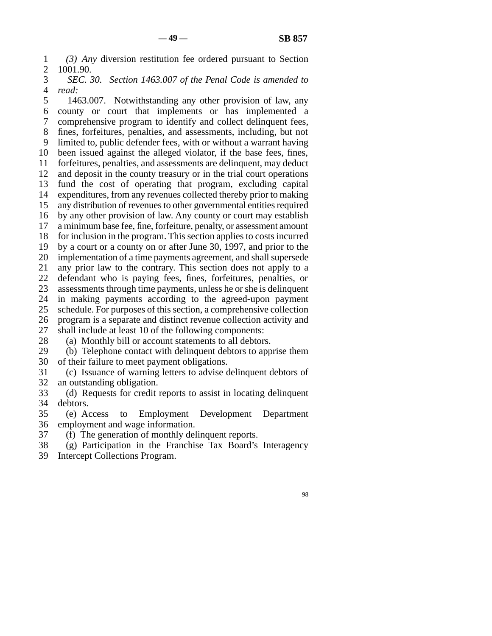1 2 *(3) Any* diversion restitution fee ordered pursuant to Section 1001.90.

3 4 *SEC. 30. Section 1463.007 of the Penal Code is amended to read:*

5 6 7 8 9 10 11 12 13 14 15 16 17 18 19 20 21 22 23 24 25 26 27 28 1463.007. Notwithstanding any other provision of law, any county or court that implements or has implemented a comprehensive program to identify and collect delinquent fees, fines, forfeitures, penalties, and assessments, including, but not limited to, public defender fees, with or without a warrant having been issued against the alleged violator, if the base fees, fines, forfeitures, penalties, and assessments are delinquent, may deduct and deposit in the county treasury or in the trial court operations fund the cost of operating that program, excluding capital expenditures, from any revenues collected thereby prior to making any distribution of revenues to other governmental entities required by any other provision of law. Any county or court may establish a minimum base fee, fine, forfeiture, penalty, or assessment amount for inclusion in the program. This section applies to costs incurred by a court or a county on or after June 30, 1997, and prior to the implementation of a time payments agreement, and shall supersede any prior law to the contrary. This section does not apply to a defendant who is paying fees, fines, forfeitures, penalties, or assessments through time payments, unless he or she is delinquent in making payments according to the agreed-upon payment schedule. For purposes of this section, a comprehensive collection program is a separate and distinct revenue collection activity and shall include at least 10 of the following components: (a) Monthly bill or account statements to all debtors.

29 30 (b) Telephone contact with delinquent debtors to apprise them of their failure to meet payment obligations.

31 32 (c) Issuance of warning letters to advise delinquent debtors of an outstanding obligation.

33 34 (d) Requests for credit reports to assist in locating delinquent debtors.

35 36 (e) Access to Employment Development Department employment and wage information.

37 (f) The generation of monthly delinquent reports.

38 (g) Participation in the Franchise Tax Board's Interagency

39 Intercept Collections Program.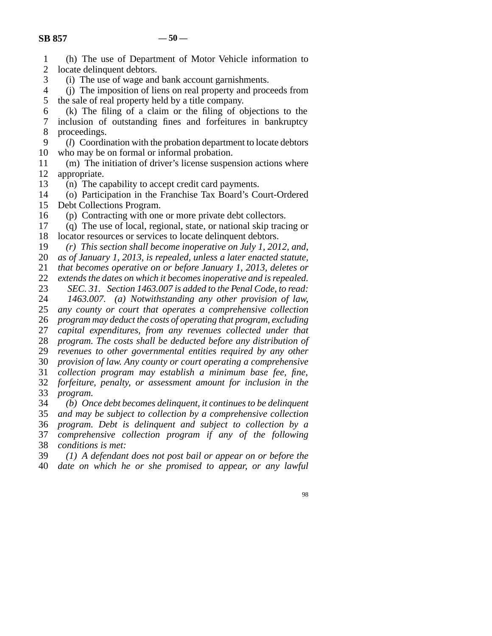| $\mathbf{1}$   | (h) The use of Department of Motor Vehicle information to                 |
|----------------|---------------------------------------------------------------------------|
| $\overline{2}$ | locate delinquent debtors.                                                |
| 3              | (i) The use of wage and bank account garnishments.                        |
| $\overline{4}$ | (i) The imposition of liens on real property and proceeds from            |
| 5              | the sale of real property held by a title company.                        |
| 6              | (k) The filing of a claim or the filing of objections to the              |
| $\tau$         | inclusion of outstanding fines and forfeitures in bankruptcy              |
| $8\,$          | proceedings.                                                              |
| 9              | ( <i>l</i> ) Coordination with the probation department to locate debtors |
| 10             | who may be on formal or informal probation.                               |
| 11             | (m) The initiation of driver's license suspension actions where           |
| 12             | appropriate.                                                              |
| 13             | (n) The capability to accept credit card payments.                        |
| 14             | (o) Participation in the Franchise Tax Board's Court-Ordered              |
| 15             | Debt Collections Program.                                                 |
| 16             | (p) Contracting with one or more private debt collectors.                 |
| 17             | (q) The use of local, regional, state, or national skip tracing or        |
| 18             | locator resources or services to locate delinquent debtors.               |
| 19             | $(r)$ This section shall become inoperative on July 1, 2012, and,         |
| 20             | as of January 1, 2013, is repealed, unless a later enacted statute,       |
| 21             | that becomes operative on or before January 1, 2013, deletes or           |
| 22             | extends the dates on which it becomes inoperative and is repealed.        |
| 23             | SEC. 31. Section 1463.007 is added to the Penal Code, to read:            |
| 24             | 1463.007. (a) Notwithstanding any other provision of law,                 |
| 25             | any county or court that operates a comprehensive collection              |
| 26             | program may deduct the costs of operating that program, excluding         |
| 27             | capital expenditures, from any revenues collected under that              |
| 28             | program. The costs shall be deducted before any distribution of           |
| 29             | revenues to other governmental entities required by any other             |
| 30             | provision of law. Any county or court operating a comprehensive           |
| 31             | collection program may establish a minimum base fee, fine,                |
| 32             | forfeiture, penalty, or assessment amount for inclusion in the            |
| 33             | program.                                                                  |
| 34             | (b) Once debt becomes delinquent, it continues to be delinquent           |
| 35             | and may be subject to collection by a comprehensive collection            |
| 36             | program. Debt is delinquent and subject to collection by a                |
| 37             | comprehensive collection program if any of the following                  |
| 38             | conditions is met:                                                        |
| 39             | $(1)$ A defendant does not post bail or appear on or before the           |

39 40 *(1) A defendant does not post bail or appear on or before the date on which he or she promised to appear, or any lawful*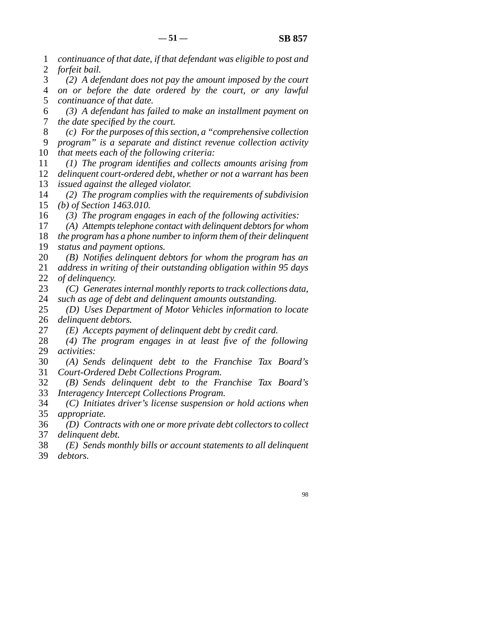1 2 *continuance of that date, if that defendant was eligible to post and forfeit bail.*

3 4 5 *(2) A defendant does not pay the amount imposed by the court on or before the date ordered by the court, or any lawful continuance of that date.*

6 7 *(3) A defendant has failed to make an installment payment on the date specified by the court.*

8 *(c) For the purposes of this section, a "comprehensive collection*

9 10 *program" is a separate and distinct revenue collection activity that meets each of the following criteria:*

11 12 13 *(1) The program identifies and collects amounts arising from delinquent court-ordered debt, whether or not a warrant has been issued against the alleged violator.*

14 15 *(2) The program complies with the requirements of subdivision (b) of Section 1463.010.*

16 *(3) The program engages in each of the following activities:*

17 *(A) Attempts telephone contact with delinquent debtors for whom*

18 19 *the program has a phone number to inform them of their delinquent status and payment options.*

20 21 22 *(B) Notifies delinquent debtors for whom the program has an address in writing of their outstanding obligation within 95 days of delinquency.*

23 24 *(C) Generates internal monthly reports to track collections data, such as age of debt and delinquent amounts outstanding.*

25 26 *(D) Uses Department of Motor Vehicles information to locate delinquent debtors.*

27 *(E) Accepts payment of delinquent debt by credit card.*

28 29 *(4) The program engages in at least five of the following activities:*

30 31 *(A) Sends delinquent debt to the Franchise Tax Board's Court-Ordered Debt Collections Program.*

32 33 *(B) Sends delinquent debt to the Franchise Tax Board's Interagency Intercept Collections Program.*

34 35 *(C) Initiates driver's license suspension or hold actions when appropriate.*

36 37 *(D) Contracts with one or more private debt collectors to collect delinquent debt.*

38 39 *(E) Sends monthly bills or account statements to all delinquent debtors.*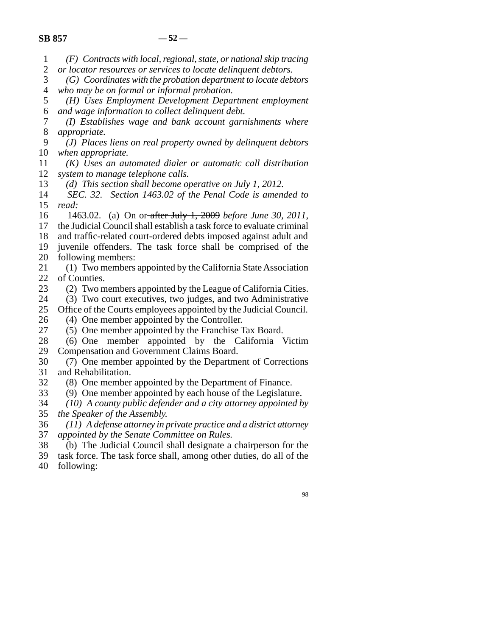1 *(F) Contracts with local, regional, state, or national skip tracing*

- 2 *or locator resources or services to locate delinquent debtors.*
- 3 4 *(G) Coordinates with the probation department to locate debtors who may be on formal or informal probation.*
- 5 6 *(H) Uses Employment Development Department employment and wage information to collect delinquent debt.*

7 8 *(I) Establishes wage and bank account garnishments where appropriate.*

9 10 *(J) Places liens on real property owned by delinquent debtors when appropriate.*

- 11 12 *(K) Uses an automated dialer or automatic call distribution system to manage telephone calls.*
- 13 *(d) This section shall become operative on July 1, 2012.*
- 14 15 *SEC. 32. Section 1463.02 of the Penal Code is amended to read:*

16 17 1463.02. (a) On or after July 1, 2009 *before June 30, 2011*, the Judicial Council shall establish a task force to evaluate criminal

- 18 and traffic-related court-ordered debts imposed against adult and
- 19 20 juvenile offenders. The task force shall be comprised of the following members:
- 21 22 (1) Two members appointed by the California State Association of Counties.
- 23 (2) Two members appointed by the League of California Cities.
- 24 (3) Two court executives, two judges, and two Administrative
- 25 Office of the Courts employees appointed by the Judicial Council.
- 26 (4) One member appointed by the Controller.
- 27 (5) One member appointed by the Franchise Tax Board.
- 28 29 (6) One member appointed by the California Victim Compensation and Government Claims Board.
- 30 31 (7) One member appointed by the Department of Corrections and Rehabilitation.
- 32 (8) One member appointed by the Department of Finance.
- 33 (9) One member appointed by each house of the Legislature.
- 34 35 *(10) A county public defender and a city attorney appointed by the Speaker of the Assembly.*
- 36 37 *(11) A defense attorney in private practice and a district attorney appointed by the Senate Committee on Rules.*
- 38 (b) The Judicial Council shall designate a chairperson for the
- 39 task force. The task force shall, among other duties, do all of the
- 40 following: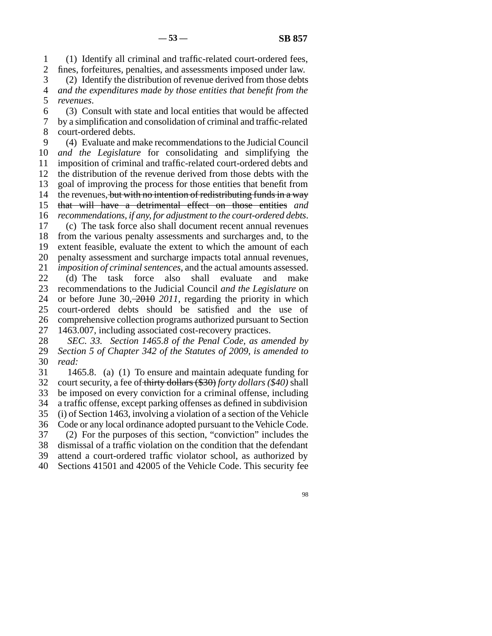1 2 3 (1) Identify all criminal and traffic-related court-ordered fees, fines, forfeitures, penalties, and assessments imposed under law. (2) Identify the distribution of revenue derived from those debts

4 5 *and the expenditures made by those entities that benefit from the revenues*.

6 7 8 (3) Consult with state and local entities that would be affected by a simplification and consolidation of criminal and traffic-related court-ordered debts.

9 10 11 12 13 14 15 16 17 18 19 20 21 22 23 24 25 26 27 28 29 (4) Evaluate and make recommendations to the Judicial Council *and the Legislature* for consolidating and simplifying the imposition of criminal and traffic-related court-ordered debts and the distribution of the revenue derived from those debts with the goal of improving the process for those entities that benefit from the revenues, but with no intention of redistributing funds in a way that will have a detrimental effect on those entities *and recommendations, if any, for adjustment to the court-ordered debts*. (c) The task force also shall document recent annual revenues from the various penalty assessments and surcharges and, to the extent feasible, evaluate the extent to which the amount of each penalty assessment and surcharge impacts total annual revenues*, imposition of criminal sentences,* and the actual amounts assessed. (d) The task force also shall evaluate and make recommendations to the Judicial Council *and the Legislature* on or before June 30, 2010 *2011*, regarding the priority in which court-ordered debts should be satisfied and the use of comprehensive collection programs authorized pursuant to Section 1463.007, including associated cost-recovery practices. *SEC. 33. Section 1465.8 of the Penal Code, as amended by Section 5 of Chapter 342 of the Statutes of 2009, is amended to*

30 *read:*

31 32 33 34 35 36 37 38 39 40 1465.8. (a) (1) To ensure and maintain adequate funding for court security, a fee of thirty dollars (\$30) *forty dollars (\$40)* shall be imposed on every conviction for a criminal offense, including a traffic offense, except parking offenses as defined in subdivision (i) of Section 1463, involving a violation of a section of the Vehicle Code or any local ordinance adopted pursuant to the Vehicle Code. (2) For the purposes of this section, "conviction" includes the dismissal of a traffic violation on the condition that the defendant attend a court-ordered traffic violator school, as authorized by Sections 41501 and 42005 of the Vehicle Code. This security fee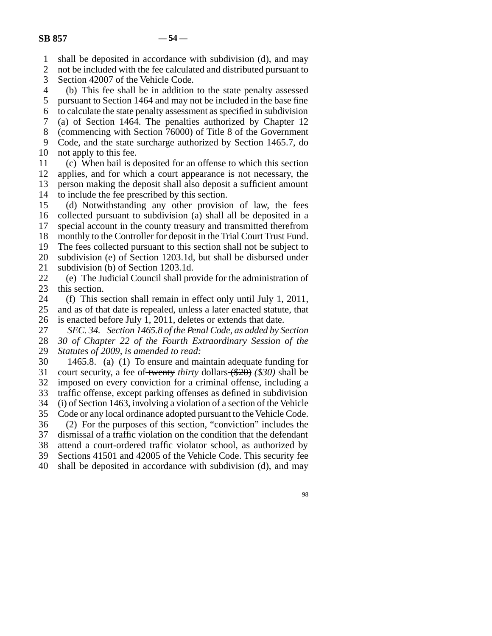1 shall be deposited in accordance with subdivision (d), and may

2 3 not be included with the fee calculated and distributed pursuant to Section 42007 of the Vehicle Code.

4 5 (b) This fee shall be in addition to the state penalty assessed pursuant to Section 1464 and may not be included in the base fine

6 7 to calculate the state penalty assessment as specified in subdivision (a) of Section 1464. The penalties authorized by Chapter 12

8 (commencing with Section 76000) of Title 8 of the Government

9 10 Code, and the state surcharge authorized by Section 1465.7, do not apply to this fee.

11 12 13 (c) When bail is deposited for an offense to which this section applies, and for which a court appearance is not necessary, the person making the deposit shall also deposit a sufficient amount

14 to include the fee prescribed by this section.

15 16 17 (d) Notwithstanding any other provision of law, the fees collected pursuant to subdivision (a) shall all be deposited in a special account in the county treasury and transmitted therefrom

18 monthly to the Controller for deposit in the Trial Court Trust Fund.

19 The fees collected pursuant to this section shall not be subject to

20 subdivision (e) of Section 1203.1d, but shall be disbursed under

21 subdivision (b) of Section 1203.1d.

22 23 (e) The Judicial Council shall provide for the administration of this section.

24 25 (f) This section shall remain in effect only until July 1, 2011, and as of that date is repealed, unless a later enacted statute, that

26 is enacted before July 1, 2011, deletes or extends that date.

27 *SEC. 34. Section 1465.8 of the Penal Code, as added by Section*

28 *30 of Chapter 22 of the Fourth Extraordinary Session of the*

29 *Statutes of 2009, is amended to read:*

30 31 32 1465.8. (a) (1) To ensure and maintain adequate funding for court security, a fee of twenty *thirty* dollars (\$20) *(\$30)* shall be imposed on every conviction for a criminal offense, including a

33 traffic offense, except parking offenses as defined in subdivision

34 (i) of Section 1463, involving a violation of a section of the Vehicle

35 Code or any local ordinance adopted pursuant to the Vehicle Code.

36 (2) For the purposes of this section, "conviction" includes the

37 dismissal of a traffic violation on the condition that the defendant

38 attend a court-ordered traffic violator school, as authorized by

39 Sections 41501 and 42005 of the Vehicle Code. This security fee

40 shall be deposited in accordance with subdivision (d), and may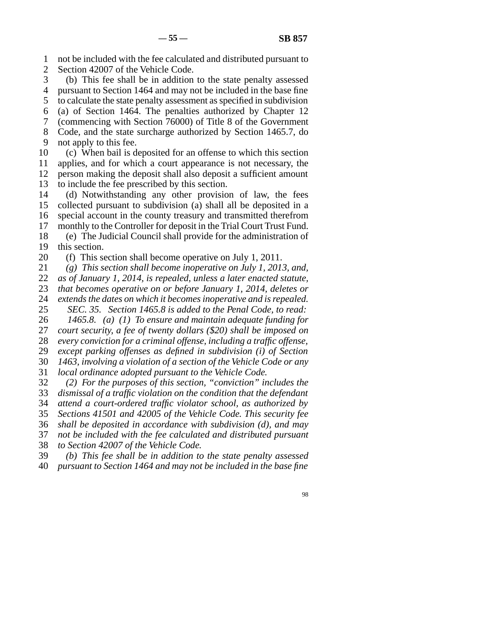1 2 not be included with the fee calculated and distributed pursuant to Section 42007 of the Vehicle Code.

3 4 (b) This fee shall be in addition to the state penalty assessed pursuant to Section 1464 and may not be included in the base fine

5 6 to calculate the state penalty assessment as specified in subdivision (a) of Section 1464. The penalties authorized by Chapter 12

7 (commencing with Section 76000) of Title 8 of the Government

8 9 Code, and the state surcharge authorized by Section 1465.7, do not apply to this fee.

10 11 12 13 (c) When bail is deposited for an offense to which this section applies, and for which a court appearance is not necessary, the person making the deposit shall also deposit a sufficient amount to include the fee prescribed by this section.

14 15 16 17 18 (d) Notwithstanding any other provision of law, the fees collected pursuant to subdivision (a) shall all be deposited in a special account in the county treasury and transmitted therefrom monthly to the Controller for deposit in the Trial Court Trust Fund. (e) The Judicial Council shall provide for the administration of

19 this section.

20 (f) This section shall become operative on July 1, 2011.

21 *(g) This section shall become inoperative on July 1, 2013, and,*

22 *as of January 1, 2014, is repealed, unless a later enacted statute,*

23 24 *that becomes operative on or before January 1, 2014, deletes or extends the dates on which it becomes inoperative and is repealed.*

25 *SEC. 35. Section 1465.8 is added to the Penal Code, to read:*

26 27 28 *1465.8. (a) (1) To ensure and maintain adequate funding for court security, a fee of twenty dollars (\$20) shall be imposed on every conviction for a criminal offense, including a traffic offense,*

29 *except parking offenses as defined in subdivision (i) of Section*

30 *1463, involving a violation of a section of the Vehicle Code or any*

31 *local ordinance adopted pursuant to the Vehicle Code.*

32 33 34 35 36 37 38 *(2) For the purposes of this section, "conviction" includes the dismissal of a traffic violation on the condition that the defendant attend a court-ordered traffic violator school, as authorized by Sections 41501 and 42005 of the Vehicle Code. This security fee shall be deposited in accordance with subdivision (d), and may not be included with the fee calculated and distributed pursuant to Section 42007 of the Vehicle Code.*

39 40 *(b) This fee shall be in addition to the state penalty assessed pursuant to Section 1464 and may not be included in the base fine*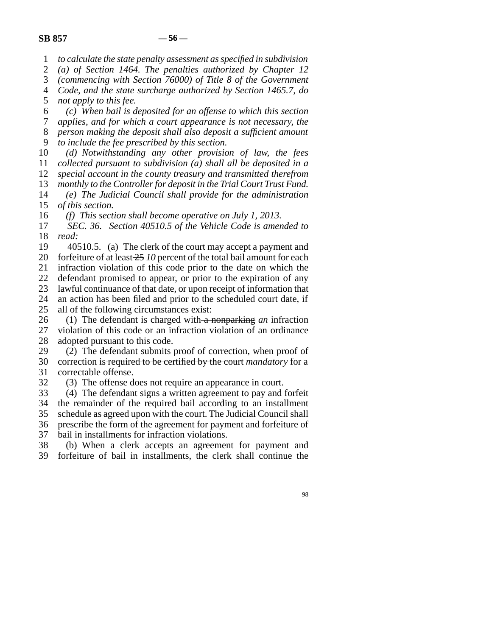1 *to calculate the state penalty assessment as specified in subdivision*

2 *(a) of Section 1464. The penalties authorized by Chapter 12*

3 *(commencing with Section 76000) of Title 8 of the Government*

4 *Code, and the state surcharge authorized by Section 1465.7, do*

5 *not apply to this fee.*

6 *(c) When bail is deposited for an offense to which this section*

7 8 *applies, and for which a court appearance is not necessary, the person making the deposit shall also deposit a sufficient amount*

9 *to include the fee prescribed by this section.*

10 11 *(d) Notwithstanding any other provision of law, the fees collected pursuant to subdivision (a) shall all be deposited in a*

12 *special account in the county treasury and transmitted therefrom*

13 *monthly to the Controller for deposit in the Trial Court Trust Fund.*

14 15 *(e) The Judicial Council shall provide for the administration of this section.*

16 *(f) This section shall become operative on July 1, 2013.*

17 18 *SEC. 36. Section 40510.5 of the Vehicle Code is amended to read:*

19 20 21 22 23 24 25 40510.5. (a) The clerk of the court may accept a payment and forfeiture of at least 25 *10* percent of the total bail amount for each infraction violation of this code prior to the date on which the defendant promised to appear, or prior to the expiration of any lawful continuance of that date, or upon receipt of information that an action has been filed and prior to the scheduled court date, if all of the following circumstances exist:

26 27 28 (1) The defendant is charged with a nonparking *an* infraction violation of this code or an infraction violation of an ordinance adopted pursuant to this code.

29 30 31 (2) The defendant submits proof of correction, when proof of correction is required to be certified by the court *mandatory* for a correctable offense.

32 (3) The offense does not require an appearance in court.

33 34 35 36 37 (4) The defendant signs a written agreement to pay and forfeit the remainder of the required bail according to an installment schedule as agreed upon with the court. The Judicial Council shall prescribe the form of the agreement for payment and forfeiture of bail in installments for infraction violations.

38 39 (b) When a clerk accepts an agreement for payment and forfeiture of bail in installments, the clerk shall continue the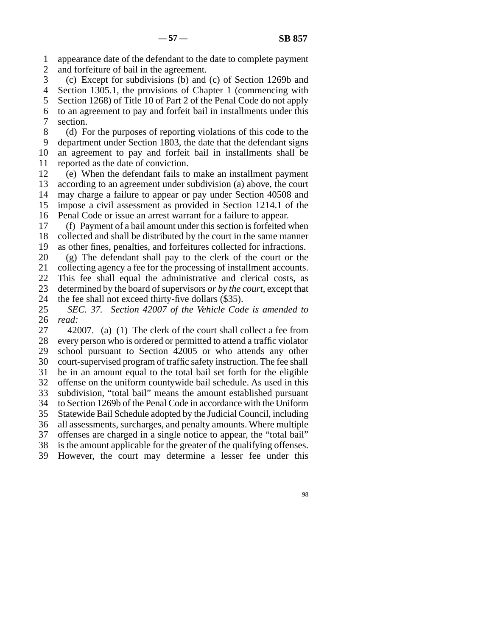1 2 appearance date of the defendant to the date to complete payment and forfeiture of bail in the agreement.

3 4 5 6 7 (c) Except for subdivisions (b) and (c) of Section 1269b and Section 1305.1, the provisions of Chapter 1 (commencing with Section 1268) of Title 10 of Part 2 of the Penal Code do not apply to an agreement to pay and forfeit bail in installments under this section.

8 9 10 11 (d) For the purposes of reporting violations of this code to the department under Section 1803, the date that the defendant signs an agreement to pay and forfeit bail in installments shall be reported as the date of conviction.

12 13 14 15 16 (e) When the defendant fails to make an installment payment according to an agreement under subdivision (a) above, the court may charge a failure to appear or pay under Section 40508 and impose a civil assessment as provided in Section 1214.1 of the Penal Code or issue an arrest warrant for a failure to appear.

17 18 19 (f) Payment of a bail amount under this section is forfeited when collected and shall be distributed by the court in the same manner as other fines, penalties, and forfeitures collected for infractions.

20 (g) The defendant shall pay to the clerk of the court or the

21 collecting agency a fee for the processing of installment accounts.

22 23 This fee shall equal the administrative and clerical costs, as determined by the board of supervisors *or by the court*, except that

24 the fee shall not exceed thirty-five dollars (\$35).

25 26 *SEC. 37. Section 42007 of the Vehicle Code is amended to read:*

27 28 29 30 31 32 33 34 35 36 37 38 42007. (a) (1) The clerk of the court shall collect a fee from every person who is ordered or permitted to attend a traffic violator school pursuant to Section 42005 or who attends any other court-supervised program of traffic safety instruction. The fee shall be in an amount equal to the total bail set forth for the eligible offense on the uniform countywide bail schedule. As used in this subdivision, "total bail" means the amount established pursuant to Section 1269b of the Penal Code in accordance with the Uniform Statewide Bail Schedule adopted by the Judicial Council, including all assessments, surcharges, and penalty amounts. Where multiple offenses are charged in a single notice to appear, the "total bail" is the amount applicable for the greater of the qualifying offenses.

39 However, the court may determine a lesser fee under this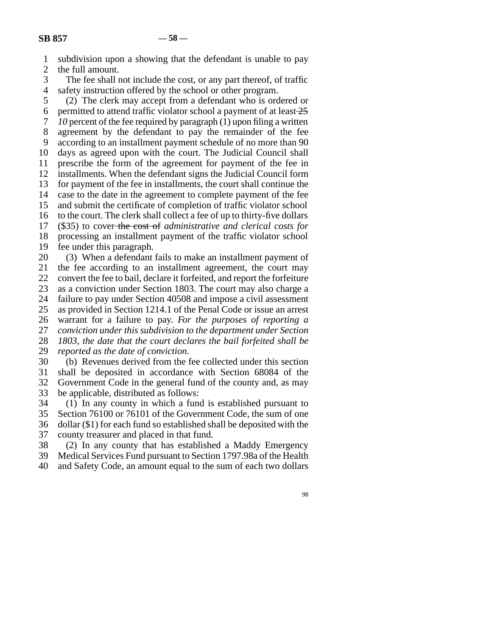1 2 subdivision upon a showing that the defendant is unable to pay the full amount.

3 4 The fee shall not include the cost, or any part thereof, of traffic safety instruction offered by the school or other program.

5 6 7 8 9 10 11 12 13 14 15 16 17 18 19 20 (2) The clerk may accept from a defendant who is ordered or permitted to attend traffic violator school a payment of at least  $\frac{25}{3}$ *10* percent of the fee required by paragraph (1) upon filing a written agreement by the defendant to pay the remainder of the fee according to an installment payment schedule of no more than 90 days as agreed upon with the court. The Judicial Council shall prescribe the form of the agreement for payment of the fee in installments. When the defendant signs the Judicial Council form for payment of the fee in installments, the court shall continue the case to the date in the agreement to complete payment of the fee and submit the certificate of completion of traffic violator school to the court. The clerk shall collect a fee of up to thirty-five dollars (\$35) to cover the cost of *administrative and clerical costs for* processing an installment payment of the traffic violator school fee under this paragraph. (3) When a defendant fails to make an installment payment of

21 22 23 24 25 26 27 28 29 30 the fee according to an installment agreement, the court may convert the fee to bail, declare it forfeited, and report the forfeiture as a conviction under Section 1803. The court may also charge a failure to pay under Section 40508 and impose a civil assessment as provided in Section 1214.1 of the Penal Code or issue an arrest warrant for a failure to pay. *For the purposes of reporting a conviction under this subdivision to the department under Section 1803, the date that the court declares the bail forfeited shall be reported as the date of conviction.* (b) Revenues derived from the fee collected under this section

31 32 33 shall be deposited in accordance with Section 68084 of the Government Code in the general fund of the county and, as may be applicable, distributed as follows:

34 (1) In any county in which a fund is established pursuant to

35 36 37 Section 76100 or 76101 of the Government Code, the sum of one dollar (\$1) for each fund so established shall be deposited with the county treasurer and placed in that fund.

38 (2) In any county that has established a Maddy Emergency

39 Medical Services Fund pursuant to Section 1797.98a of the Health

40 and Safety Code, an amount equal to the sum of each two dollars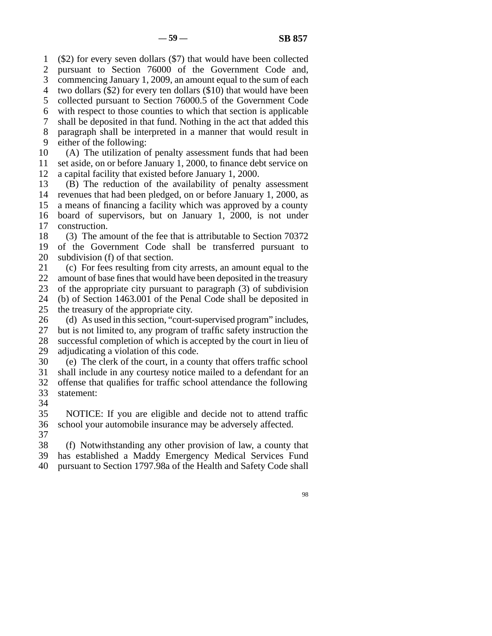1 2 3 4 5 6 7 8 9 (\$2) for every seven dollars (\$7) that would have been collected pursuant to Section 76000 of the Government Code and, commencing January 1, 2009, an amount equal to the sum of each two dollars (\$2) for every ten dollars (\$10) that would have been collected pursuant to Section 76000.5 of the Government Code with respect to those counties to which that section is applicable shall be deposited in that fund. Nothing in the act that added this paragraph shall be interpreted in a manner that would result in either of the following:

10 11 12 (A) The utilization of penalty assessment funds that had been set aside, on or before January 1, 2000, to finance debt service on a capital facility that existed before January 1, 2000.

13 14 15 16 17 (B) The reduction of the availability of penalty assessment revenues that had been pledged, on or before January 1, 2000, as a means of financing a facility which was approved by a county board of supervisors, but on January 1, 2000, is not under construction.

18 19 20 (3) The amount of the fee that is attributable to Section 70372 of the Government Code shall be transferred pursuant to subdivision (f) of that section.

21 22 23 24 25 (c) For fees resulting from city arrests, an amount equal to the amount of base fines that would have been deposited in the treasury of the appropriate city pursuant to paragraph (3) of subdivision (b) of Section 1463.001 of the Penal Code shall be deposited in the treasury of the appropriate city.

26 27 28 29 (d) As used in this section, "court-supervised program" includes, but is not limited to, any program of traffic safety instruction the successful completion of which is accepted by the court in lieu of adjudicating a violation of this code.

30 31 32 33 (e) The clerk of the court, in a county that offers traffic school shall include in any courtesy notice mailed to a defendant for an offense that qualifies for traffic school attendance the following statement:

34

35 36 37 NOTICE: If you are eligible and decide not to attend traffic school your automobile insurance may be adversely affected.

38 39 40 (f) Notwithstanding any other provision of law, a county that has established a Maddy Emergency Medical Services Fund pursuant to Section 1797.98a of the Health and Safety Code shall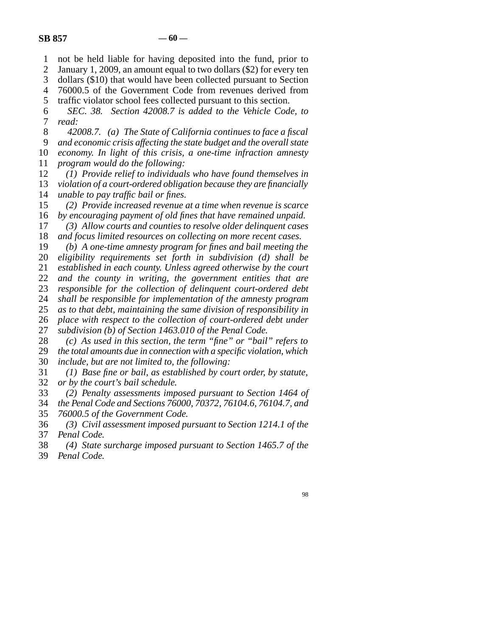1 not be held liable for having deposited into the fund, prior to

2 January 1, 2009, an amount equal to two dollars (\$2) for every ten

3 dollars (\$10) that would have been collected pursuant to Section

4 5 76000.5 of the Government Code from revenues derived from traffic violator school fees collected pursuant to this section.

6 7 *SEC. 38. Section 42008.7 is added to the Vehicle Code, to read:*

8 9 10 11 *42008.7. (a) The State of California continues to face a fiscal and economic crisis affecting the state budget and the overall state economy. In light of this crisis, a one-time infraction amnesty program would do the following:*

12 13 14 *(1) Provide relief to individuals who have found themselves in violation of a court-ordered obligation because they are financially unable to pay traffic bail or fines.*

15 16 *(2) Provide increased revenue at a time when revenue is scarce by encouraging payment of old fines that have remained unpaid.*

17 18 *(3) Allow courts and counties to resolve older delinquent cases and focus limited resources on collecting on more recent cases.*

19 *(b) A one-time amnesty program for fines and bail meeting the*

20 *eligibility requirements set forth in subdivision (d) shall be*

21 22 *established in each county. Unless agreed otherwise by the court and the county in writing, the government entities that are*

23 *responsible for the collection of delinquent court-ordered debt*

24 *shall be responsible for implementation of the amnesty program*

25 *as to that debt, maintaining the same division of responsibility in*

26 *place with respect to the collection of court-ordered debt under*

27 *subdivision (b) of Section 1463.010 of the Penal Code.*

28 *(c) As used in this section, the term "fine" or "bail" refers to*

29 30 *the total amounts due in connection with a specific violation, which include, but are not limited to, the following:*

31 32 *(1) Base fine or bail, as established by court order, by statute, or by the court's bail schedule.*

33 *(2) Penalty assessments imposed pursuant to Section 1464 of*

34 *the Penal Code and Sections 76000, 70372, 76104.6, 76104.7, and*

35 *76000.5 of the Government Code.*

36 37 *(3) Civil assessment imposed pursuant to Section 1214.1 of the Penal Code.*

38 39 *(4) State surcharge imposed pursuant to Section 1465.7 of the Penal Code.*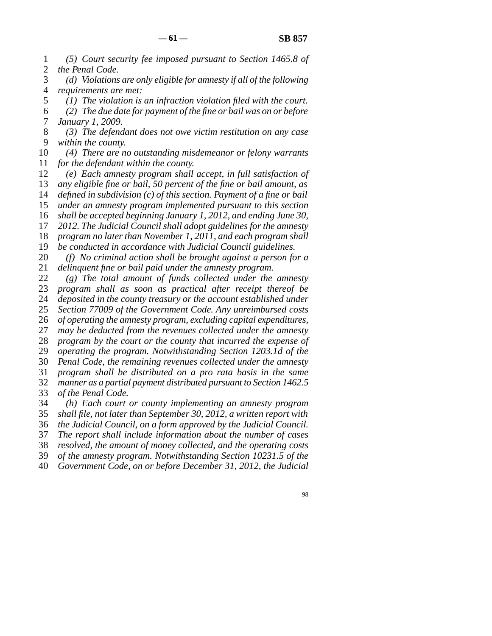1 2 *(5) Court security fee imposed pursuant to Section 1465.8 of the Penal Code.*

3 4 *(d) Violations are only eligible for amnesty if all of the following requirements are met:*

5 6 7 *(1) The violation is an infraction violation filed with the court. (2) The due date for payment of the fine or bail was on or before January 1, 2009.*

8 9 *(3) The defendant does not owe victim restitution on any case within the county.*

10 11 *(4) There are no outstanding misdemeanor or felony warrants for the defendant within the county.*

12 13 14 15 16 17 18 19 *(e) Each amnesty program shall accept, in full satisfaction of any eligible fine or bail, 50 percent of the fine or bail amount, as defined in subdivision (c) of this section. Payment of a fine or bail under an amnesty program implemented pursuant to this section shall be accepted beginning January 1, 2012, and ending June 30, 2012. The Judicial Council shall adopt guidelines for the amnesty program no later than November 1, 2011, and each program shall be conducted in accordance with Judicial Council guidelines.*

20 21 *(f) No criminal action shall be brought against a person for a delinquent fine or bail paid under the amnesty program.*

22 23 24 25 26 27 28 29 30 31 32 33 34 *(g) The total amount of funds collected under the amnesty program shall as soon as practical after receipt thereof be deposited in the county treasury or the account established under Section 77009 of the Government Code. Any unreimbursed costs of operating the amnesty program, excluding capital expenditures, may be deducted from the revenues collected under the amnesty program by the court or the county that incurred the expense of operating the program. Notwithstanding Section 1203.1d of the Penal Code, the remaining revenues collected under the amnesty program shall be distributed on a pro rata basis in the same manner as a partial payment distributed pursuant to Section 1462.5 of the Penal Code. (h) Each court or county implementing an amnesty program*

35 *shall file, not later than September 30, 2012, a written report with*

36 *the Judicial Council, on a form approved by the Judicial Council.*

37 38 *The report shall include information about the number of cases*

39 *resolved, the amount of money collected, and the operating costs of the amnesty program. Notwithstanding Section 10231.5 of the*

40 *Government Code, on or before December 31, 2012, the Judicial*